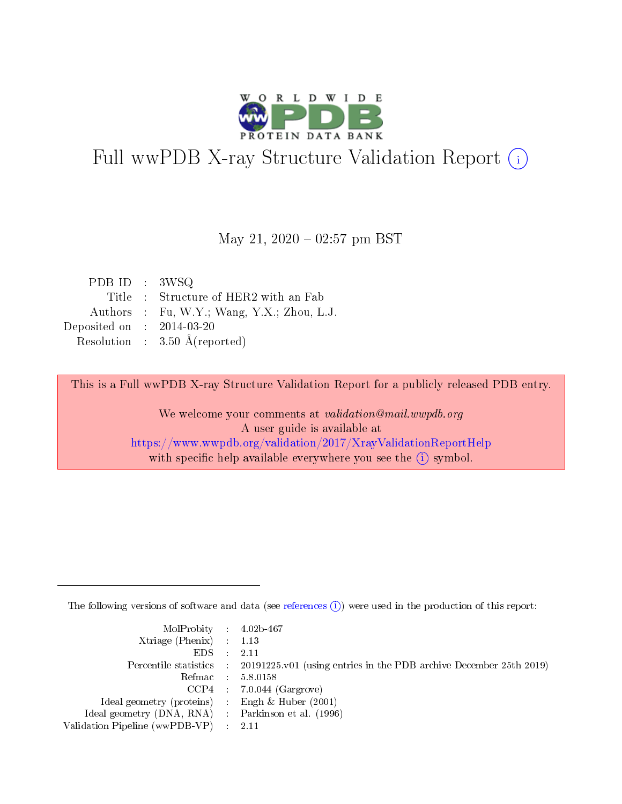

# Full wwPDB X-ray Structure Validation Report (i)

#### May 21,  $2020 - 02:57$  pm BST

| PDBID : 3WSQ                |                                            |
|-----------------------------|--------------------------------------------|
|                             | Title : Structure of HER2 with an Fab      |
|                             | Authors : Fu, W.Y.; Wang, Y.X.; Zhou, L.J. |
| Deposited on : $2014-03-20$ |                                            |
|                             | Resolution : $3.50 \text{ Å}$ (reported)   |

This is a Full wwPDB X-ray Structure Validation Report for a publicly released PDB entry.

We welcome your comments at validation@mail.wwpdb.org A user guide is available at <https://www.wwpdb.org/validation/2017/XrayValidationReportHelp> with specific help available everywhere you see the  $(i)$  symbol.

The following versions of software and data (see [references](https://www.wwpdb.org/validation/2017/XrayValidationReportHelp#references)  $(i)$ ) were used in the production of this report:

| MolProbity : $4.02b-467$                            |                                                                                            |
|-----------------------------------------------------|--------------------------------------------------------------------------------------------|
| Xtriage (Phenix) $: 1.13$                           |                                                                                            |
| EDS -                                               | 2.11                                                                                       |
|                                                     | Percentile statistics : 20191225.v01 (using entries in the PDB archive December 25th 2019) |
|                                                     | Refmac 58.0158                                                                             |
|                                                     | $CCP4$ 7.0.044 (Gargrove)                                                                  |
| Ideal geometry (proteins) : Engh $\&$ Huber (2001)  |                                                                                            |
| Ideal geometry (DNA, RNA) : Parkinson et al. (1996) |                                                                                            |
| Validation Pipeline (wwPDB-VP)                      | -2.11                                                                                      |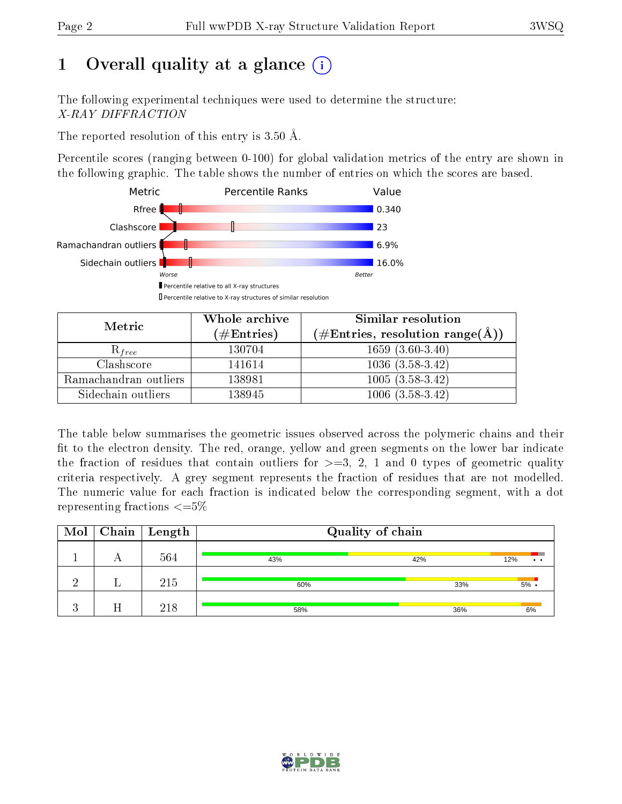## 1 [O](https://www.wwpdb.org/validation/2017/XrayValidationReportHelp#overall_quality)verall quality at a glance  $(i)$

The following experimental techniques were used to determine the structure: X-RAY DIFFRACTION

The reported resolution of this entry is  $3.50 \text{ Å}.$ 

Percentile scores (ranging between 0-100) for global validation metrics of the entry are shown in the following graphic. The table shows the number of entries on which the scores are based.



| Metric                | Whole archive<br>(# $\rm{Entries}$ ) | Similar resolution<br>$(\#\text{Entries}, \text{resolution range}(\textup{\AA}))$ |
|-----------------------|--------------------------------------|-----------------------------------------------------------------------------------|
| $\mathcal{R}_{free}$  | 130704                               | $1659(3.60-3.40)$                                                                 |
| Clashscore            | 141614                               | $1036(3.58-3.42)$                                                                 |
| Ramachandran outliers | 138981                               | $1005(3.58-3.42)$                                                                 |
| Sidechain outliers    | 138945                               | $1006(3.58-3.42)$                                                                 |

The table below summarises the geometric issues observed across the polymeric chains and their fit to the electron density. The red, orange, yellow and green segments on the lower bar indicate the fraction of residues that contain outliers for  $\geq=3$ , 2, 1 and 0 types of geometric quality criteria respectively. A grey segment represents the fraction of residues that are not modelled. The numeric value for each fraction is indicated below the corresponding segment, with a dot representing fractions  $\epsilon = 5\%$ 

| Mol            | $\mid$ Chain | Length | Quality of chain |     |                        |
|----------------|--------------|--------|------------------|-----|------------------------|
|                | А            | 564    | 43%              | 42% | 12%<br>$\cdot$ $\cdot$ |
| റ              |              | 215    | 60%              | 33% | $5\%$                  |
| $\Omega$<br>Æ. |              | 218    | 58%              | 36% | 6%                     |

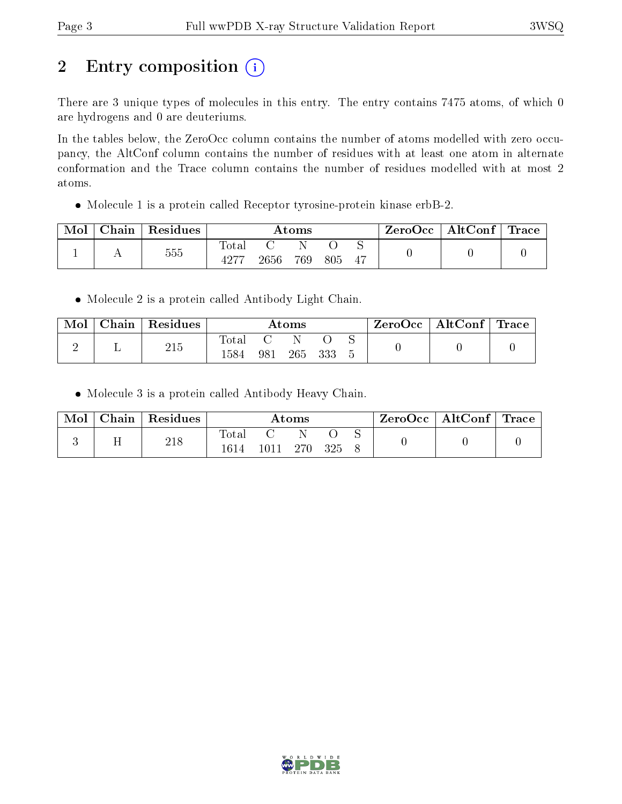# 2 Entry composition (i)

There are 3 unique types of molecules in this entry. The entry contains 7475 atoms, of which 0 are hydrogens and 0 are deuteriums.

In the tables below, the ZeroOcc column contains the number of atoms modelled with zero occupancy, the AltConf column contains the number of residues with at least one atom in alternate conformation and the Trace column contains the number of residues modelled with at most 2 atoms.

Molecule 1 is a protein called Receptor tyrosine-protein kinase erbB-2.

| Mol | Chain | Residues | Atoms |      |     |     | ZeroOcc | AltConf $\vert$ | $^{\prime}$ Trace |  |
|-----|-------|----------|-------|------|-----|-----|---------|-----------------|-------------------|--|
|     |       | 555      | Fotal | 2656 | 769 | 805 | ∼<br>47 |                 |                   |  |

• Molecule 2 is a protein called Antibody Light Chain.

| Mol | Chain | Residues |               |     | Atoms |     |  | $ZeroOcc \mid AltConf \mid Trace \mid$ |  |
|-----|-------|----------|---------------|-----|-------|-----|--|----------------------------------------|--|
|     |       | 215      | Total<br>1584 | 981 | 265   | 333 |  |                                        |  |

Molecule 3 is a protein called Antibody Heavy Chain.

| Mol | Chain | Residues |                        |       | Atoms |     | $\text{ZeroOcc} \mid \text{AltConf} \mid \text{Trace}$ |  |
|-----|-------|----------|------------------------|-------|-------|-----|--------------------------------------------------------|--|
|     |       | 218      | $_{\rm Total}$<br>1614 | 1011- | 270.  | 325 |                                                        |  |

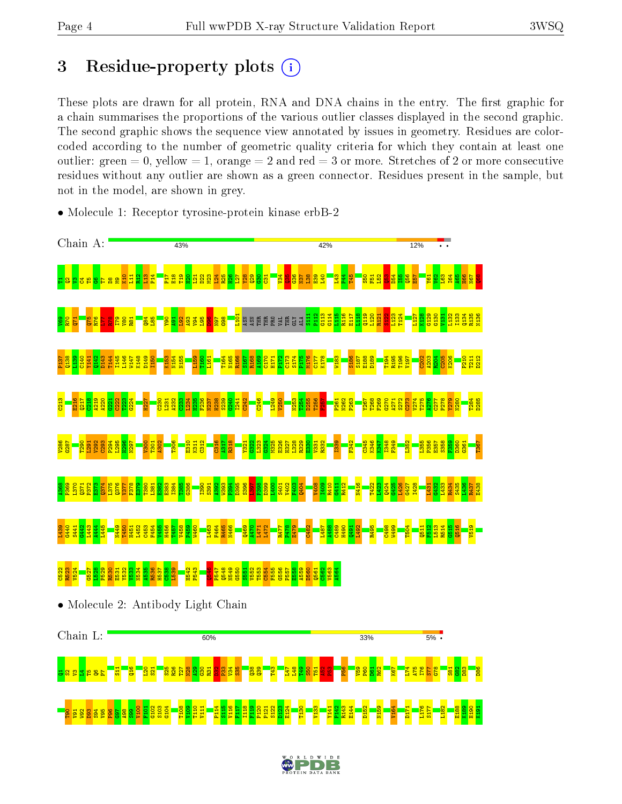## 3 Residue-property plots  $(i)$

These plots are drawn for all protein, RNA and DNA chains in the entry. The first graphic for a chain summarises the proportions of the various outlier classes displayed in the second graphic. The second graphic shows the sequence view annotated by issues in geometry. Residues are colorcoded according to the number of geometric quality criteria for which they contain at least one outlier: green  $= 0$ , yellow  $= 1$ , orange  $= 2$  and red  $= 3$  or more. Stretches of 2 or more consecutive residues without any outlier are shown as a green connector. Residues present in the sample, but not in the model, are shown in grey.



• Molecule 1: Receptor tyrosine-protein kinase erbB-2

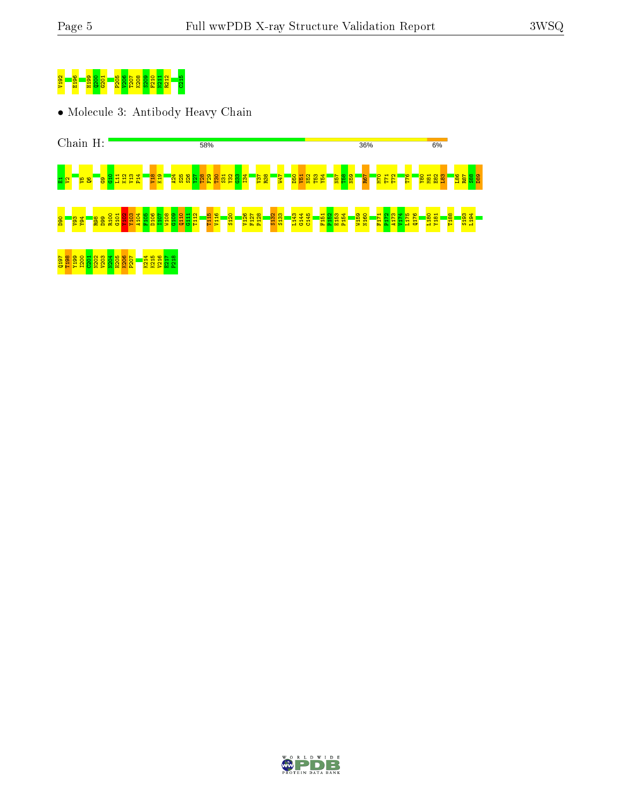

• Molecule 3: Antibody Heavy Chain



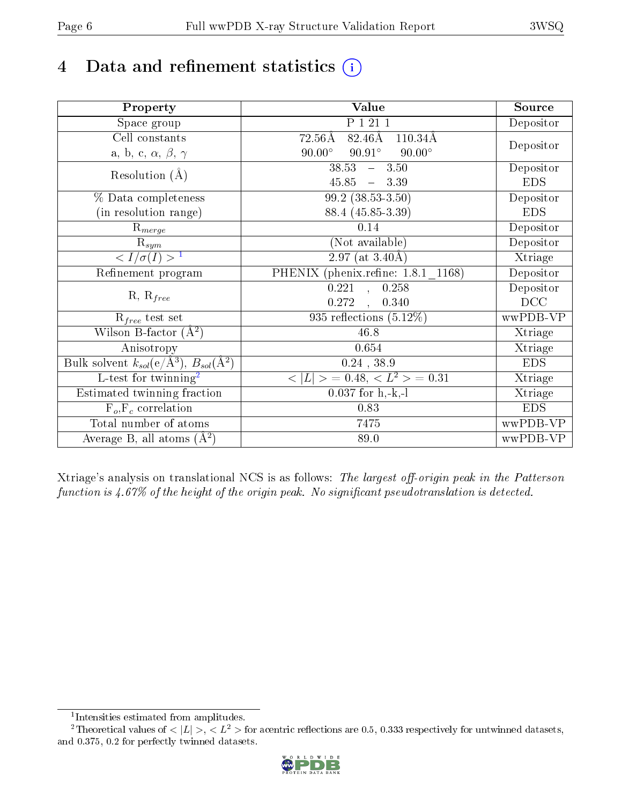## 4 Data and refinement statistics  $(i)$

| Property                                                             | Value                                                        | Source     |
|----------------------------------------------------------------------|--------------------------------------------------------------|------------|
| Space group                                                          | P 1 21 1                                                     | Depositor  |
| Cell constants                                                       | $82.46\text{\AA}$<br>$72.56\text{\AA}$<br>$110.34\text{\AA}$ |            |
| a, b, c, $\alpha$ , $\beta$ , $\gamma$                               | $90.00^\circ$<br>$90.91^\circ$<br>$90.00^\circ$              | Depositor  |
| Resolution $(A)$                                                     | 38.53<br>$-3.50$                                             | Depositor  |
|                                                                      | $45.85 - 3.39$                                               | <b>EDS</b> |
| % Data completeness                                                  | $99.2$ $(38.53-3.50)$                                        | Depositor  |
| (in resolution range)                                                | 88.4 (45.85-3.39)                                            | <b>EDS</b> |
| $\mathrm{R}_{merge}$                                                 | 0.14                                                         | Depositor  |
| $\mathrm{R}_{sym}$                                                   | (Not available)                                              | Depositor  |
| $\sqrt{I/\sigma}(I) > 1$                                             | 2.97 (at $3.40\text{\AA}$ )                                  | Xtriage    |
| Refinement program                                                   | PHENIX (phenix.refine: 1.8.1_1168)                           | Depositor  |
|                                                                      | $\overline{0.221}$ ,<br>0.258                                | Depositor  |
| $R, R_{free}$                                                        | 0.272<br>0.340                                               | DCC        |
| $R_{free}$ test set                                                  | 935 reflections $(5.12\%)$                                   | wwPDB-VP   |
| Wilson B-factor $(A^2)$                                              | 46.8                                                         | Xtriage    |
| Anisotropy                                                           | 0.654                                                        | Xtriage    |
| Bulk solvent $k_{sol}(e/\mathring{A}^3)$ , $B_{sol}(\mathring{A}^2)$ | $0.24$ , $38.9$                                              | <b>EDS</b> |
| L-test for twinning <sup>2</sup>                                     | $< L >$ = 0.48, $< L2 >$ = 0.31                              | Xtriage    |
| Estimated twinning fraction                                          | $\overline{0.037}$ for h,-k,-l                               | Xtriage    |
| $F_o, F_c$ correlation                                               | 0.83                                                         | <b>EDS</b> |
| Total number of atoms                                                | 7475                                                         | wwPDB-VP   |
| Average B, all atoms $(A^2)$                                         | 89.0                                                         | wwPDB-VP   |

Xtriage's analysis on translational NCS is as follows: The largest off-origin peak in the Patterson function is  $4.67\%$  of the height of the origin peak. No significant pseudotranslation is detected.

<sup>&</sup>lt;sup>2</sup>Theoretical values of  $\langle |L| \rangle$ ,  $\langle L^2 \rangle$  for acentric reflections are 0.5, 0.333 respectively for untwinned datasets, and 0.375, 0.2 for perfectly twinned datasets.



<span id="page-5-1"></span><span id="page-5-0"></span><sup>1</sup> Intensities estimated from amplitudes.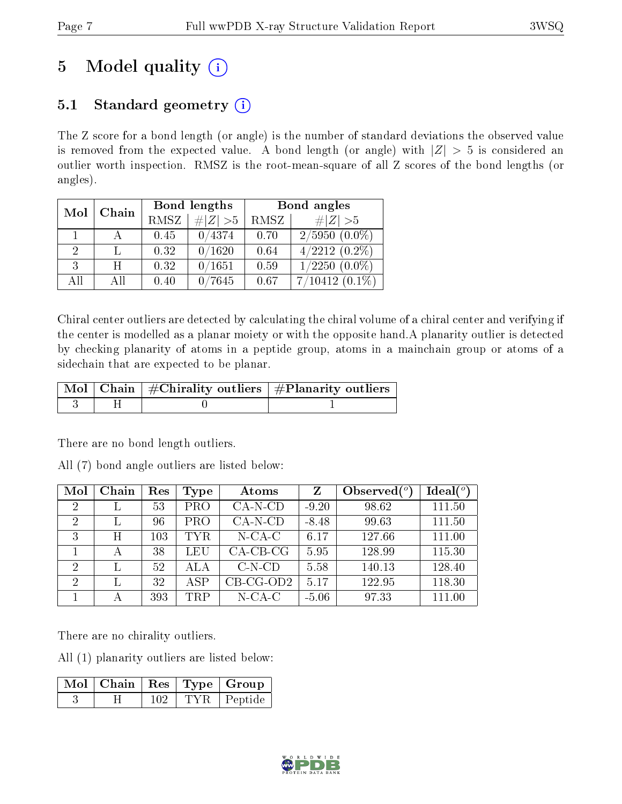## 5 Model quality  $(i)$

## 5.1 Standard geometry  $(i)$

The Z score for a bond length (or angle) is the number of standard deviations the observed value is removed from the expected value. A bond length (or angle) with  $|Z| > 5$  is considered an outlier worth inspection. RMSZ is the root-mean-square of all Z scores of the bond lengths (or angles).

| Mol | Chain |             | Bond lengths | Bond angles |                               |  |
|-----|-------|-------------|--------------|-------------|-------------------------------|--|
|     |       | <b>RMSZ</b> | $\ Z\  > 5$  | RMSZ        | # $ Z >5$                     |  |
|     |       | 0.45        | 0/4374       | 0.70        | $2/5950(0.0\%)$               |  |
| 2   |       | 0.32        | 0/1620       | 0.64        | $4/2212(0.2\%)$               |  |
| 3   | H     | 0.32        | 0/1651       | 0.59        | $\overline{1/2250}$ $(0.0\%)$ |  |
| All | All   | 0.40        | 0/7645       | 0.67        | $7/10412(0.1\%)$              |  |

Chiral center outliers are detected by calculating the chiral volume of a chiral center and verifying if the center is modelled as a planar moiety or with the opposite hand.A planarity outlier is detected by checking planarity of atoms in a peptide group, atoms in a mainchain group or atoms of a sidechain that are expected to be planar.

|  | $\mid$ Mol $\mid$ Chain $\mid$ #Chirality outliers $\mid$ #Planarity outliers $\mid$ |
|--|--------------------------------------------------------------------------------------|
|  |                                                                                      |

There are no bond length outliers.

All (7) bond angle outliers are listed below:

| Mol            | Chain | Res | Type       | Atoms       | Z       | Observed $(°)$ | $Ideal(^o)$ |
|----------------|-------|-----|------------|-------------|---------|----------------|-------------|
| $\overline{2}$ |       | 53  | <b>PRO</b> | $CA-N-CD$   | $-9.20$ | 98.62          | 111.50      |
| $\overline{2}$ |       | 96  | <b>PRO</b> | $CA-N-CD$   | $-8.48$ | 99.63          | 111.50      |
| 3              | Η     | 103 | <b>TYR</b> | $N$ -CA-C   | 6.17    | 127.66         | 111.00      |
|                | А     | 38  | <b>LEU</b> | $CA-CB-CG$  | 5.95    | 128.99         | 115.30      |
| $\overline{2}$ |       | 52  | ALA        | $C-N-CD$    | 5.58    | 140.13         | 128.40      |
| $\overline{2}$ |       | 32  | ASP        | $CB-CG-OD2$ | 5.17    | 122.95         | 118.30      |
|                |       | 393 | <b>TRP</b> | $N$ -CA-C   | $-5.06$ | 97.33          | 111.00      |

There are no chirality outliers.

All (1) planarity outliers are listed below:

| Mol   Chain   Res   Type   Group |     |               |
|----------------------------------|-----|---------------|
|                                  | 102 | TYR   Peptide |

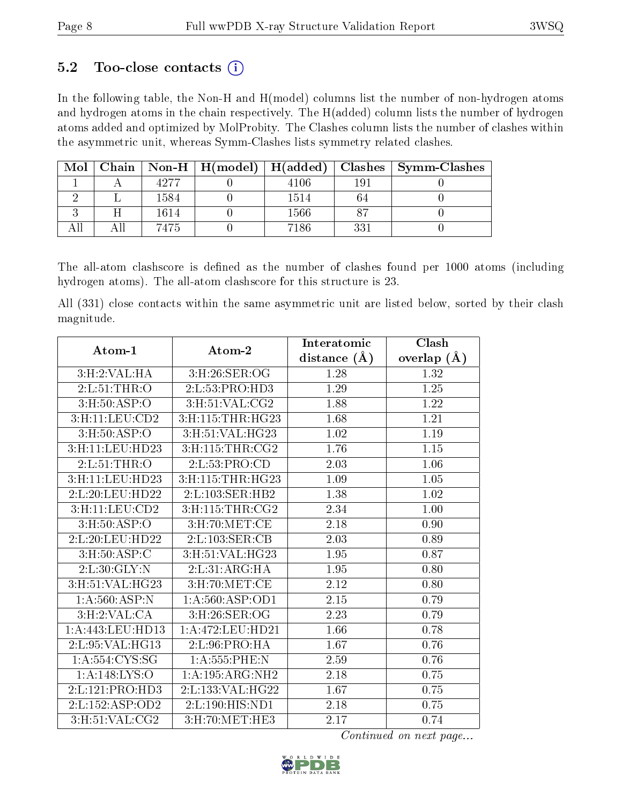## 5.2 Too-close contacts  $(i)$

In the following table, the Non-H and H(model) columns list the number of non-hydrogen atoms and hydrogen atoms in the chain respectively. The H(added) column lists the number of hydrogen atoms added and optimized by MolProbity. The Clashes column lists the number of clashes within the asymmetric unit, whereas Symm-Clashes lists symmetry related clashes.

| Mol | Chain |      | $\mid$ Non-H $\mid$ H(model) $\mid$ H(added) |      | ⊦ Clashes | $\mathbf{Symm\text{-}\mathbf{Class}}$ |
|-----|-------|------|----------------------------------------------|------|-----------|---------------------------------------|
|     |       |      |                                              | 4106 | 191       |                                       |
|     |       | 1584 |                                              | 1514 |           |                                       |
|     |       | 1614 |                                              | 1566 |           |                                       |
|     |       | 7475 |                                              | 7186 | 331       |                                       |

The all-atom clashscore is defined as the number of clashes found per 1000 atoms (including hydrogen atoms). The all-atom clashscore for this structure is 23.

All (331) close contacts within the same asymmetric unit are listed below, sorted by their clash magnitude.

| Atom-1              | Atom-2                             | Interatomic       | Clash             |
|---------------------|------------------------------------|-------------------|-------------------|
|                     |                                    | distance $(\AA)$  | overlap $(A)$     |
| 3:H:2:VAL:HA        | 3: H:26: SER:OG                    | 1.28              | 1.32              |
| 2: L:51:THR:O       | $2:L:53:PRO:\overline{HD3}$        | 1.29              | $\overline{1.25}$ |
| 3: H: 50: ASP: O    | 3:H:51:VAL:CG2                     | 1.88              | 1.22              |
| 3:H:11:LEU:CD2      | 3:H:115:THR:HG23                   | 1.68              | 1.21              |
| 3: H:50: ASP:O      | 3:H:51:VAL:HG23                    | 1.02              | 1.19              |
| 3:H:11:LEU:HD23     | 3: H:115: THR: CG2                 | 1.76              | 1.15              |
| 2: L:51:THR:O       | 2: L: 53: PRO: CD                  | 2.03              | 1.06              |
| 3:H:11:LEU:HD23     | 3:H:115:THR:HG23                   | 1.09              | $1.05\,$          |
| 2:L:20:LEU:HD22     | 2:L:103:SER:HB2                    | $\overline{1.38}$ | $\overline{1.02}$ |
| 3: H: 11: LEU: CD2  | 3: H: 115: THR: CG2                | 2.34              | 1.00              |
| 3:H:50:ASP:O        | $3:$ H:70:MET:CE                   | 2.18              | 0.90              |
| 2:L:20:LEU:HD22     | $2:L:103:\overline{\text{SER}:CB}$ | 2.03              | 0.89              |
| 3: H: 50: ASP: C    | 3:H:51:VAL:HG23                    | 1.95              | 0.87              |
| 2: L:30: GLY:N      | 2: L:31: ARG:HA                    | 1.95              | 0.80              |
| 3:H:51:VAL:HG23     | $3:$ H $:70:$ MET $:$ CE           | 2.12              | 0.80              |
| 1: A:560:ASP:N      | 1: A:560: ASP:OD1                  | 2.15              | 0.79              |
| 3:H:2:VAL:CA        | 3:H:26:SER:OG                      | 2.23              | 0.79              |
| 1: A:443:LEU:HD13   | 1:A:472:LEU:HD21                   | 1.66              | 0.78              |
| 2: L: 95: VAL: HG13 | 2: L:96: PRO:HA                    | 1.67              | 0.76              |
| 1: A: 554: CYS:SG   | 1:A:555:PHE:N                      | 2.59              | 0.76              |
| 1:A:148:LYS:O       | 1:A:195:ARG:NH2                    | 2.18              | 0.75              |
| 2:L:121:PRO:HD3     | 2:L:133:VAL:HG22                   | 1.67              | 0.75              |
| 2:L:152:ASP:OD2     | 2: L: 190: HIS: ND1                | 2.18              | 0.75              |
| 3: H:51: VAL: CG2   | 3: H:70: MET:HE3                   | 2.17              | 0.74              |

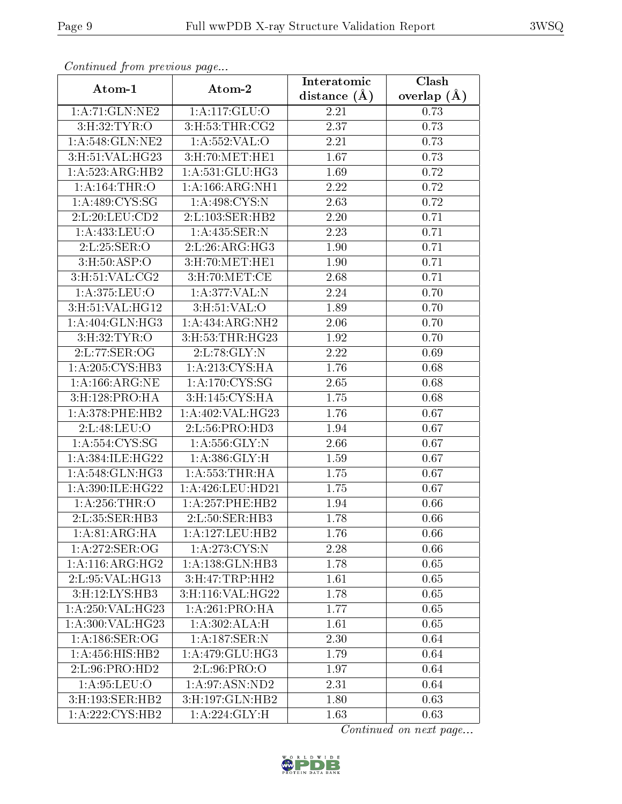| Conningea from previous page |                                           | Interatomic    | Clash         |
|------------------------------|-------------------------------------------|----------------|---------------|
| Atom-1                       | Atom-2                                    | distance $(A)$ | overlap $(A)$ |
| 1:A:71:GLN:NE2               | 1:A:117:GLU:O                             | 2.21           | 0.73          |
| 3:H:32:TYR:O                 | 3: H: 53: THR: CG2                        | 2.37           | 0.73          |
| 1:A:548:GLN:NE2              | 1: A: 552: VAL: O                         | 2.21           | 0.73          |
| 3:H:51:VAL:HG23              | 3: H:70: MET: HE1                         | 1.67           | 0.73          |
| 1:A:523:ARG:HB2              | 1:A:531:GLU:HG3                           | 1.69           | 0.72          |
| 1: A: 164: THR: O            | 1: A: 166: ARG: NH1                       | 2.22           | 0.72          |
| 1: A:489: CYS:SG             | 1: A:498:CYS:N                            | 2.63           | 0.72          |
| 2: L: 20: LEU: CD2           | 2:1:103:SER:HB2                           | 2.20           | 0.71          |
| 1:A:433:LEU:O                | 1:A:435:SER:N                             | 2.23           | 0.71          |
| 2:L:25:SER:O                 | 2:L:26:ARG:HG3                            | 1.90           | 0.71          |
| 3: H:50: ASP:O               | 3:H:70:MET:HE1                            | 1.90           | 0.71          |
| 3: H: 51: VAL: CG2           | 3: H:70: MET:CE                           | 2.68           | 0.71          |
| 1:A:375:LEU:O                | 1:A:377:VAL:N                             | 2.24           | 0.70          |
| 3:H:51:VAL:HG12              | 3: H:51: VAL:O                            | 1.89           | 0.70          |
| 1: A:404: GLN: HG3           | 1:A:434:ARG:NH2                           | 2.06           | 0.70          |
| 3: H:32: TYR:O               | 3:H:53:THR:HG23                           | 1.92           | 0.70          |
| 2:L:77:SER:OG                | 2:L:78:GLY:N                              | 2.22           | 0.69          |
| 1:A:205:CYS:HB3              | 1: A:213: CYS:HA                          | 1.76           | 0.68          |
| 1: A:166:ARG:NE              | 1: A:170: CYS:SG                          | 2.65           | 0.68          |
| 3:H:128:PRO:HA               | 3:H:145:CYS:HA                            | 1.75           | 0.68          |
| 1: A:378:PHE:HB2             | 1: A:402: VAL: HG23                       | 1.76           | 0.67          |
| 2:L:48:LEU:O                 | $2: L: 56: P\overline{RO:H\overline{D3}}$ | 1.94           | 0.67          |
| 1: A: 554: CYS: SG           | 1: A: 556: GLY: N                         | 2.66           | 0.67          |
| 1:A:384:ILE:HG22             | 1: A: 386: GLY: H                         | 1.59           | 0.67          |
| 1: A:548: GLN: HG3           | 1: A: 553: THR: HA                        | 1.75           | 0.67          |
| 1:A:390:ILE:HG22             | 1:A:426:LEU:HD21                          | 1.75           | 0.67          |
| 1: A:256:THR:O               | 1:A:257:PHE:HB2                           | 1.94           | 0.66          |
| 2:L:35:SER:HB3               | 2:L:50:SER:HB3                            | 1.78           | 0.66          |
| 1: A:81: ARG:HA              | 1:A:127:LEU:HB2                           | 1.76           | 0.66          |
| 1:A:272:SER:OG               | 1:A:273:CYS:N                             | 2.28           | 0.66          |
| 1:A:116:ARG:HG2              | 1:A:138:GLN:HB3                           | 1.78           | 0.65          |
| 2: L:95: VAL:HG13            | 3:H:47:TRP:HH2                            | 1.61           | 0.65          |
| 3: H: 12: LYS: HB3           | 3:H:116:VAL:HG22                          | 1.78           | 0.65          |
| 1:A:250:VAL:HG23             | 1: A:261:PRO:HA                           | 1.77           | 0.65          |
| 1:A:300:VAL:HG23             | 1:A:302:ALA:H                             | 1.61           | 0.65          |
| 1: A:186: SER:OG             | 1:A:187:SER:N                             | 2.30           | 0.64          |
| 1: A: 456: HIS: HB2          | 1: A:479: GLU:HG3                         | 1.79           | 0.64          |
| 2: L:96: PRO:HD2             | 2:L:96:PRO:O                              | 1.97           | 0.64          |
| 1: A:95:LEU:O                | 1:A:97:ASN:ND2                            | 2.31           | 0.64          |
| 3:H:193:SER:HB2              | 3:H:197:GLN:HB2                           | 1.80           | 0.63          |
| 1:A:222:CYS:HB2              | 1:A:224:GLY:H                             | 1.63           | 0.63          |

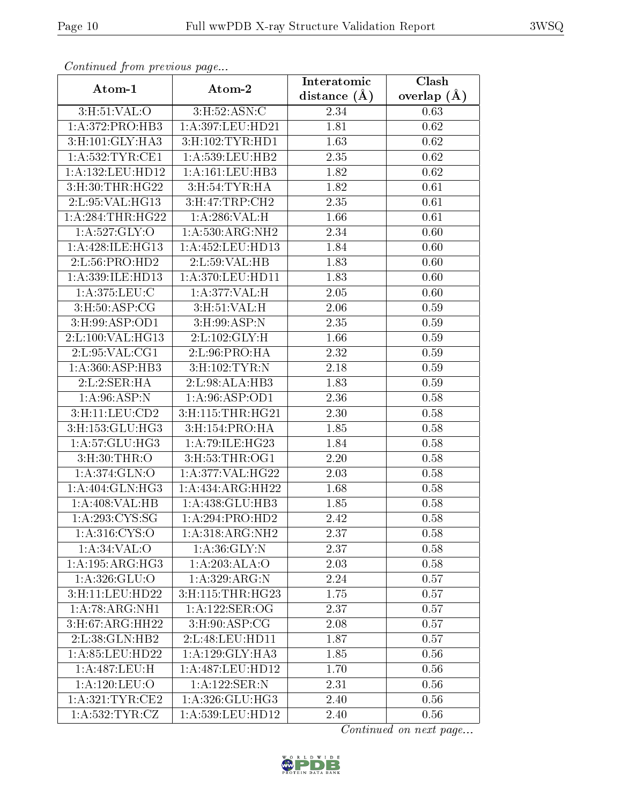| Continuati pont previous page                       |                      | Interatomic      | Clash<br>overlap $(\AA)$ |  |
|-----------------------------------------------------|----------------------|------------------|--------------------------|--|
| Atom-1                                              | Atom-2               | distance $(\AA)$ |                          |  |
| 3:H:51:VAL:O                                        | 3:H:52:ASN:C         | 2.34             | 0.63                     |  |
| 1: A:372: PRO:HB3                                   | 1:A:397:LEU:HD21     | 1.81             | 0.62                     |  |
| 3: H: 101: GLY: HA3                                 | 3: H: 102: TYR: HD1  | 1.63             | 0.62                     |  |
| 1: A:532:TYR:CE1                                    | 1: A: 539: LEU: HB2  | 2.35             | 0.62                     |  |
| 1:A:132:LEU:HD12                                    | 1: A: 161: LEU: HB3  | 1.82             | 0.62                     |  |
| 3:H:30:THR:HG22                                     | 3:H:54:TYR:HA        | 1.82             | 0.61                     |  |
| 2: L: 95: VAL: HG13                                 | 3:H:47:TRP:CH2       | 2.35             | 0.61                     |  |
| $1:\overline{A}:284:\overline{THR}:\overline{HG}22$ | 1:A:286:VAL:H        | 1.66             | 0.61                     |  |
| 1: A:527: GLY:O                                     | 1: A: 530: ARG: NH2  | 2.34             | 0.60                     |  |
| 1: A:428: ILE: HG13                                 | 1: A: 452: LEU: HD13 | 1.84             | 0.60                     |  |
| 2:L:56:PRO:HD2                                      | 2:L:59:VAL:HB        | 1.83             | 0.60                     |  |
| 1:A:339:ILE:HD13                                    | 1:A:370:LEU:HD11     | 1.83             | 0.60                     |  |
| 1: A:375:LEU:C                                      | 1:A:377:VAL:H        | 2.05             | 0.60                     |  |
| 3: H:50: ASP:CG                                     | 3: H:51: VAL:H       | 2.06             | 0.59                     |  |
| 3:H:99:ASP:OD1                                      | 3:H:99:ASP:N         | 2.35             | 0.59                     |  |
| 2:L:100:VAL:HG13                                    | 2:L:102:GLY:H        | 1.66             | 0.59                     |  |
| 2:L:95:VAL:CG1                                      | 2:L:96:PRO:HA        | 2.32             | 0.59                     |  |
| 1: A:360: ASP:HB3                                   | 3: H: 102: TYR: N    | 2.18             | 0.59                     |  |
| 2:L:2:SER:HA                                        | 2:L:98:ALA:HB3       | 1.83             | 0.59                     |  |
| 1: A:96: ASP: N                                     | 1: A:96: ASP:OD1     | 2.36             | 0.58                     |  |
| 3:H:11:LEU:CD2                                      | 3:H:115:THR:HG21     | 2.30             | 0.58                     |  |
| 3:H:153:GLU:HG3                                     | 3:H:154:PRO:HA       | 1.85             | 0.58                     |  |
| 1:A:57:GLU:HG3                                      | 1:A:79:ILE:HG23      | 1.84             | 0.58                     |  |
| 3: H:30: THR:O                                      | 3: H: 53: THR: OG1   | 2.20             | 0.58                     |  |
| 1: A:374: GLN:O                                     | 1: A:377: VAL:HG22   | 2.03             | 0.58                     |  |
| 1: A:404: GLN: HG3                                  | 1: A: 434: ARG: HH22 | 1.68             | 0.58                     |  |
| 1:A:408:VAL:HB                                      | 1:A:438:GLU:HB3      | 1.85             | 0.58                     |  |
| 1: A:293:CYS:SG                                     | 1:A:294:PRO:HD2      | 2.42             | 0.58                     |  |
| 1:A:316:CYS:O                                       | 1: A: 318: ARG: NH2  | 2.37             | 0.58                     |  |
| 1: A:34:VAL:O                                       | 1: A:36: GLY:N       | 2.37             | 0.58                     |  |
| 1:A:195:ARG:HG3                                     | 1:A:203:ALA:O        | 2.03             | 0.58                     |  |
| 1: A:326: GLU:O                                     | 1:A:329:ARG:N        | 2.24             | 0.57                     |  |
| 3:H:11:LEU:HD22                                     | 3:H:115:THR:HG23     | 1.75             | 0.57                     |  |
| 1:A:78:ARG:NH1                                      | 1: A: 122: SER: OG   | 2.37             | 0.57                     |  |
| 3:H:67:ARG:HH22                                     | $3:$ H:90:ASP:CG     | 2.08             | 0.57                     |  |
| 2: L: 38: GLN: HB2                                  | 2:L:48:LEU:HD11      | 1.87             | 0.57                     |  |
| 1: A:85:LEU:HD22                                    | 1: A:129: GLY:HA3    | 1.85             | 0.56                     |  |
| 1:A:487:LEU:H                                       | 1:A:487:LEU:HD12     | 1.70             | 0.56                     |  |
| 1: A: 120: LEU: O                                   | 1:A:122:SER:N        | 2.31             | 0.56                     |  |
| 1:A:321:TYR:CE2                                     | 1: A:326: GLU:HG3    | 2.40             | 0.56                     |  |
| 1: A:532:TYR:CZ                                     | 1:A:539:LEU:HD12     | 2.40             | 0.56                     |  |

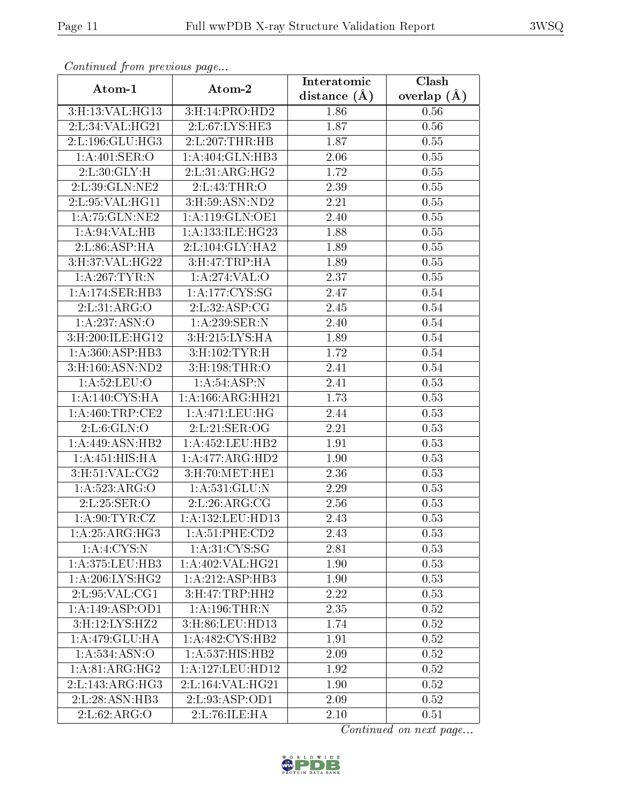| Continuea from previous page   |                                      | Interatomic    | Clash         |  |
|--------------------------------|--------------------------------------|----------------|---------------|--|
| Atom-1                         | Atom-2                               | distance $(A)$ | overlap $(A)$ |  |
| 3:H:13:VAL:HG13                | 3:H:14:PRO:HD2                       | 1.86           | 0.56          |  |
| 2:L:34:VAL:HG21                | 2:L:67:LYS:HE3                       | 1.87           | 0.56          |  |
| 2:L:196:GLU:HG3                | 2:L:207:THR:HB                       | 1.87           | 0.55          |  |
| 1:A:401:SER:O                  | $1:A:404:\overline{GLN:HB3}$         | 2.06           | 0.55          |  |
| 2: L:30: GLY: H                | 2: L:31: ARG:HG2                     | 1.72           | 0.55          |  |
| 2:L:39:GLN:NE2                 | 2: L: 43: THR: O                     | 2.39           | 0.55          |  |
| 2:L:95:VAL:HG11                | $3:$ H $:59:$ ASN:ND2                | 2.21           | 0.55          |  |
| 1:A:75:GLN:NE2                 | 1: A:119: GLN:OE1                    | 2.40           | 0.55          |  |
| 1: A:94:VAL:HB                 | 1:A:133:ILE:HG23                     | 1.88           | 0.55          |  |
| 2: L:86: ASP:HA                | 2:L:104:GLY:HA2                      | 1.89           | 0.55          |  |
| 3:H:37:VAL:HG22                | 3:H:47:TRP:HA                        | 1.89           | 0.55          |  |
| 1: A:267:TYR:N                 | 1:A:274:VAL:O                        | 2.37           | 0.55          |  |
| 1:A:174:SER:HB3                | 1: A: 177: CYS: SG                   | 2.47           | 0.54          |  |
| 2: L:31: ARG:O                 | 2: L:32: ASP:CG                      | 2.45           | 0.54          |  |
| 1:A:237:ASN:O                  | 1:A:239:SER:N                        | 2.40           | 0.54          |  |
| 3:H:200:ILE:HG12               | 3: H:215: LYS: HA                    | 1.89           | 0.54          |  |
| 1: A:360: ASP:HB3              | 3:H:102:TYR:H                        | 1.72           | 0.54          |  |
| 3:H:160:ASN:ND2                | 3:H:198:THR:O                        | 2.41           | 0.54          |  |
| 1:A:52:LEU:O                   | 1:A:54:ASP:N                         | 2.41           | 0.53          |  |
| 1: A:140: CYS: HA              | 1: A: 166: ARG: HH21                 | 1.73           | 0.53          |  |
| 1: A:460:TRP:CE2               | $1: A:471: \overline{\text{LEU:HG}}$ | 2.44           | 0.53          |  |
| 2: L:6: GLN:O                  | 2:L:21:SER:OG                        | 2.21           | 0.53          |  |
| 1:A:449:ASN:HB2                | 1:A:452:LEU:HB2                      | 1.91           | 0.53          |  |
| 1:A:451:HIS:HA                 | 1:A:477:ARG:HD2                      | 1.90           | 0.53          |  |
| 3: H: 51: VAL: CG2             | 3:H:70:MET:HE1                       | 2.36           | 0.53          |  |
| 1:A:523:ARG:O                  | 1: A: 531: GLU: N                    | 2.29           | 0.53          |  |
| 2:L:25:SER:O                   | 2: L:26: ARG: CG                     | 2.56           | 0.53          |  |
| 1: A:90: TYR: CZ               | $1: A: 132:$ LEU:HD13                | 2.43           | 0.53          |  |
| $1:A:25:ARG:\overline{HG3}$    | 1: A:51: PHE:CD2                     | 2.43           | 0.53          |  |
| 1:A:4:CYS:N                    | 1: A:31:CYS:SG                       | 2.81           | 0.53          |  |
| 1: A:375:LEU:HB3               | 1: A:402: VAL: HG21                  | 1.90           | 0.53          |  |
| 1: A:206: LYS: HG2             | 1:A:212:ASP:HB3                      | 1.90           | 0.53          |  |
| $2: L:95: VAL: \overline{CG1}$ | 3: H:47: TRP: HH2                    | 2.22           | 0.53          |  |
| 1:A:149:ASP:OD1                | 1: A: 196: THR:N                     | 2.35           | 0.52          |  |
| 3: H: 12: LYS: HZ2             | 3:H:86:LEU:HD13                      | 1.74           | 0.52          |  |
| 1:A:479:GLU:HA                 | 1: A: 482: CYS: HB2                  | 1.91           | 0.52          |  |
| 1: A: 534: ASN: O              | $1:A:537:HIS:H\overline{B2}$         | 2.09           | 0.52          |  |
| 1: A:81: ARG: HG2              | 1:A:127:LEU:HD12                     | 1.92           | 0.52          |  |
| 2:L:143:ARG:HG3                | 2:L:164:VAL:HG21                     | 1.90           | 0.52          |  |
| 2:L:28:ASN:HB3                 | 2:L:93:ASP:OD1                       | 2.09           | 0.52          |  |
| 2: L:62: ARG:O                 | 2:L:76:ILE:HA                        | 2.10           | 0.51          |  |

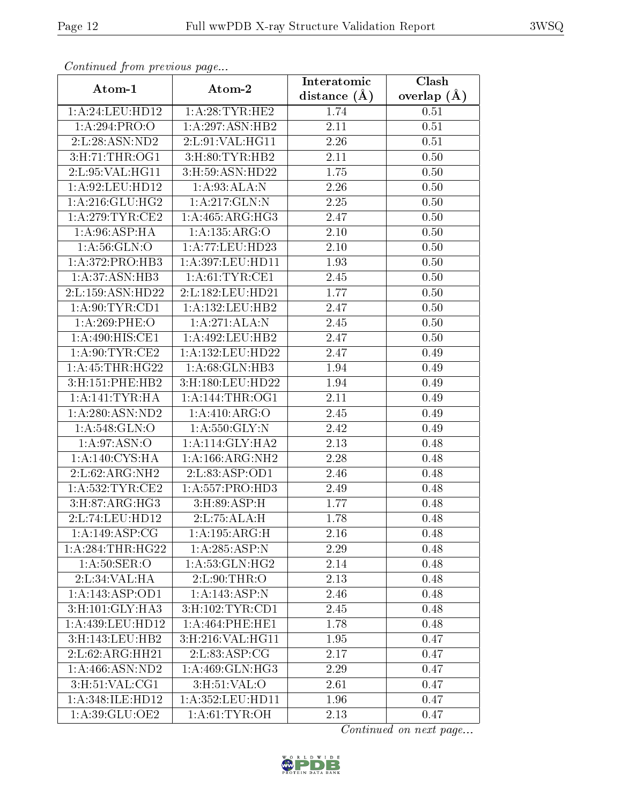| Continuea from previous page |                       | Interatomic    | Clash         |  |
|------------------------------|-----------------------|----------------|---------------|--|
| Atom-1                       | Atom-2                | distance $(A)$ | overlap $(A)$ |  |
| 1: A:24:LEU:HD12             | 1: A:28:TYR:HE2       | 1.74           | 0.51          |  |
| 1:A:294:PRO:O                | 1:A:297:ASN:HB2       | 2.11           | 0.51          |  |
| 2:L:28:ASN:ND2               | 2:L:91:VAL:HG11       | 2.26           | 0.51          |  |
| 3:H:71:THR:OG1               | $3:$ H $:80:TYR$ :HB2 | 2.11           | 0.50          |  |
| 2:L:95:VAL:HG11              | 3:H:59:ASN:HD22       | 1.75           | 0.50          |  |
| 1:A:92:LEU:HD12              | 1: A:93:ALA:N         | 2.26           | 0.50          |  |
| 1:A:216:GLU:HG2              | 1:A:217:GLN:N         | 2.25           | 0.50          |  |
| 1: A:279:TYR:CE2             | 1: A:465: ARG:HG3     | 2.47           | 0.50          |  |
| 1: A:96: ASP:HA              | 1:A:135:ARG:O         | $2.10\,$       | 0.50          |  |
| 1: A:56: GLN:O               | 1: A:77: LEU: HD23    | 2.10           | 0.50          |  |
| 1: A:372: PRO:HB3            | 1:A:397:LEU:HD11      | 1.93           | 0.50          |  |
| 1:A:37:ASN:HB3               | 1: A:61:TYR:CE1       | 2.45           | 0.50          |  |
| 2:L:159:ASN:HD22             | 2:L:182:LEU:HD21      | 1.77           | 0.50          |  |
| 1: A:90: TYR:CD1             | 1:A:132:LEU:HB2       | 2.47           | 0.50          |  |
| 1:A:269:PHE:O                | 1:A:271:ALA:N         | 2.45           | 0.50          |  |
| 1:A:490:HIS:CE1              | 1:A:492:LEU:HB2       | 2.47           | 0.50          |  |
| 1: A:90: TYR: CE2            | 1:A:132:LEU:HD22      | 2.47           | 0.49          |  |
| 1: A: 45: THR: HG22          | 1:A:68:GLN:HB3        | 1.94           | 0.49          |  |
| 3:H:151:PHE:HB2              | 3:H:180:LEU:HD22      | 1.94           | 0.49          |  |
| 1: A:141:TYR:HA              | 1: A:144:THR:OG1      | 2.11           | 0.49          |  |
| 1:A:280:ASN:ND2              | 1:A:410:ARG:O         | 2.45           | 0.49          |  |
| 1: A:548: GLN:O              | 1: A: 550: GLY: N     | 2.42           | 0.49          |  |
| 1: A:97: ASN:O               | 1:A:114:GLY:HA2       | 2.13           | 0.48          |  |
| 1: A:140: CYS: HA            | 1: A: 166: ARG: NH2   | 2.28           | 0.48          |  |
| 2:L:62:ARG:NH2               | 2:L:83:ASP:OD1        | 2.46           | 0.48          |  |
| 1:A:532:TYR:CE2              | 1: A: 557: PRO: HD3   | 2.49           | 0.48          |  |
| 3:H:87:ARG:HG3               | 3:H:89:ASP:H          | 1.77           | 0.48          |  |
| 2:L:74:LEU:HD12              | 2: L: 75: ALA: H      | 1.78           | 0.48          |  |
| $1:A:149:\overline{ASP:CG}$  | 1:A:195:ARG:H         | 2.16           | 0.48          |  |
| 1:A:284:THR:HG22             | 1:A:285:ASP:N         | 2.29           | 0.48          |  |
| 1: A:50: SER:O               | 1: A:53: GLN: HG2     | 2.14           | 0.48          |  |
| 2:L:34:VAL:HA                | 2: L:90:THR:O         | 2.13           | 0.48          |  |
| 1:A:143:ASP:OD1              | 1:A:143:ASP:N         | 2.46           | 0.48          |  |
| 3:H:101:GLY:HA3              | 3: H: 102: TYR: CD1   | 2.45           | 0.48          |  |
| 1: A:439:LEU:HD12            | 1: A:464:PHE:HE1      | 1.78           | 0.48          |  |
| 3:H:143:LEU:HB2              | 3:H:216:VAL:HG11      | 1.95           | 0.47          |  |
| 2:L:62:ARG:HH21              | 2: L:83: ASP:CG       | 2.17           | 0.47          |  |
| 1:A:466:ASN:ND2              | 1:A:469:GLN:HG3       | 2.29           | 0.47          |  |
| 3:H:51:VAL:CG1               | 3: H:51: VAL:O        | 2.61           | 0.47          |  |
| 1:A:348:ILE:HD12             | 1:A:352:LEU:HD11      | 1.96           | 0.47          |  |
| 1:A:39:GLU:OE2               | 1: A:61:TYR:OH        | 2.13           | 0.47          |  |

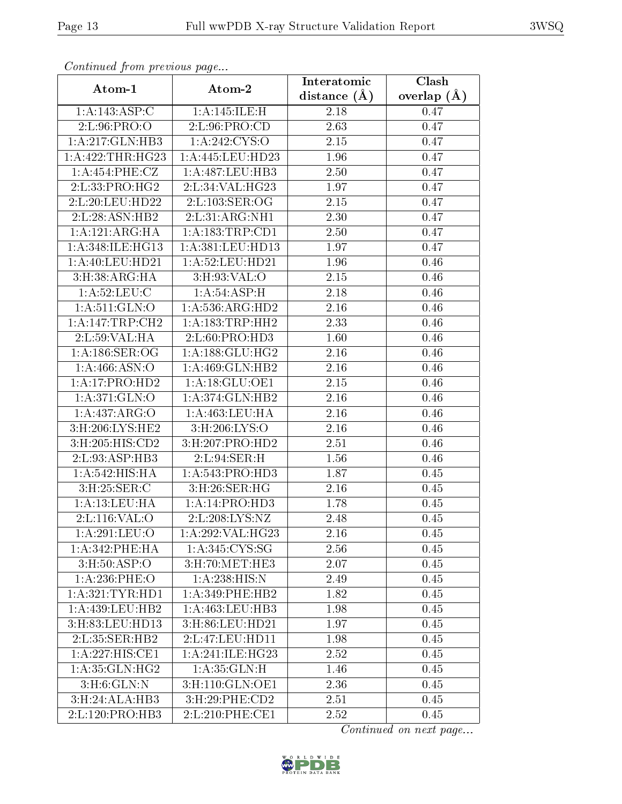| Continuatu jibin previous puge |                              | Interatomic      | Clash           |  |
|--------------------------------|------------------------------|------------------|-----------------|--|
| Atom-1                         | Atom-2                       | distance $(\AA)$ | overlap $(\AA)$ |  |
| 1:A:143:ASP:C                  | 1:A:145:ILE:H                | 2.18             | 0.47            |  |
| 2:L:96:PRO:O                   | 2: L:96: PRO:CD              | 2.63             | 0.47            |  |
| 1:A:217:GLN:HB3                | 1: A:242: CYS:O              | 2.15             | 0.47            |  |
| 1:A:422:THR:HG23               | 1: A: 445: LEU: HD23         | 1.96             | 0.47            |  |
| 1: A:454: PHE: CZ              | 1:A:487:LEU:HB3              | 2.50             | 0.47            |  |
| 2: L: 33: PRO:HG2              | 2:L:34:VAL:HG23              | 1.97             | 0.47            |  |
| 2:L:20:LEU:HD22                | 2:L:103:SER:OG               | $2.15\,$         | 0.47            |  |
| 2:L:28:ASN:HB2                 | 2:L:31:ARG:NH1               | 2.30             | 0.47            |  |
| 1:A:121:ARG:HA                 | 1:A:183:TRP:CD1              | 2.50             | 0.47            |  |
| 1:A:348:ILE:HG13               | 1:A:381:LEU:HD13             | 1.97             | 0.47            |  |
| 1: A:40:LEU:HD21               | 1:A:52:LEU:HD21              | 1.96             | 0.46            |  |
| 3: H: 38: ARG: HA              | 3: H:93: VAL:O               | 2.15             | 0.46            |  |
| 1: A:52: LEU: C                | 1: A:54:ASP:H                | 2.18             | 0.46            |  |
| 1:A:511:GLN:O                  | 1:A:536:ARG:HD2              | 2.16             | 0.46            |  |
| 1:A:147:TRP:CH2                | 1:A:183:TRP:HH2              | 2.33             | 0.46            |  |
| 2:L:59:VAL:HA                  | 2: L:60: PRO:H <sub>D3</sub> | 1.60             | 0.46            |  |
| 1: A: 186: SER: OG             | 1:A:188:GLU:HG2              | 2.16             | 0.46            |  |
| 1: A:466: ASN:O                | 1:A:469:GLN:HB2              | 2.16             | 0.46            |  |
| 1:A:17:PRO:HD2                 | 1: A:18: GLU:OE1             | $2.15\,$         | 0.46            |  |
| 1: A:371: GLN:O                | 1: A:374: GLN: HB2           | 2.16             | 0.46            |  |
| 1:A:437:ARG:O                  | 1:A:463:LEU:HA               | 2.16             | 0.46            |  |
| 3:H:206:LYS:HE2                | 3:H:206:LYS:O                | 2.16             | 0.46            |  |
| 3:H:205:HIS:CD2                | 3:H:207:PRO:HD2              | 2.51             | 0.46            |  |
| 2:L:93:ASP:HB3                 | 2:L:94:SER:H                 | 1.56             | $0.46\,$        |  |
| 1: A:542: HIS: HA              | 1: A:543: PRO:HD3            | 1.87             | 0.45            |  |
| 3:H:25:SER:C                   | 3:H:26:SER:HG                | 2.16             | 0.45            |  |
| 1:A:13:LEU:HA                  | 1:A:14:PRO:HD3               | 1.78             | 0.45            |  |
| 2: L: 116: VAL: O              | 2: L: 208: LYS: NZ           | 2.48             | 0.45            |  |
| 1:A:291:LEU:O                  | 1:A:292:VAL:HG23             | 2.16             | 0.45            |  |
| 1:A:342:PHE:HA                 | 1:A:345:CYS:SG               | 2.56             | 0.45            |  |
| $3:$ H $:50:$ ASP $:$ O        | 3: H:70: MET:HE3             | 2.07             | 0.45            |  |
| 1:A:236:PHE:O                  | 1:A:238:HIS:N                | 2.49             | 0.45            |  |
| 1: A:321: TYR: HD1             | 1: A:349: PHE:HB2            | 1.82             | 0.45            |  |
| 1: A: 439: LEU: HB2            | 1:A:463:LEU:HB3              | 1.98             | 0.45            |  |
| 3:H:83:LEU:HD13                | 3:H:86:LEU:HD21              | 1.97             | 0.45            |  |
| 2:L:35:SER:HB2                 | 2:L:47:LEU:HD11              | 1.98             | 0.45            |  |
| 1:A:227:HIS:CE1                | 1:A:241:ILE:HG23             | 2.52             | 0.45            |  |
| 1: A: 35: GLN: HG2             | 1: A:35: GLN:H               | 1.46             | 0.45            |  |
| 3: H:6: GLN:N                  | 3:H:110:GLN:OE1              | 2.36             | 0.45            |  |
| 3:H:24:ALA:HB3                 | 3:H:29:PHE:CD2               | 2.51             | 0.45            |  |
| 2:L:120:PRO:HB3                | 2:L:210:PHE:CE1              | 2.52             | 0.45            |  |

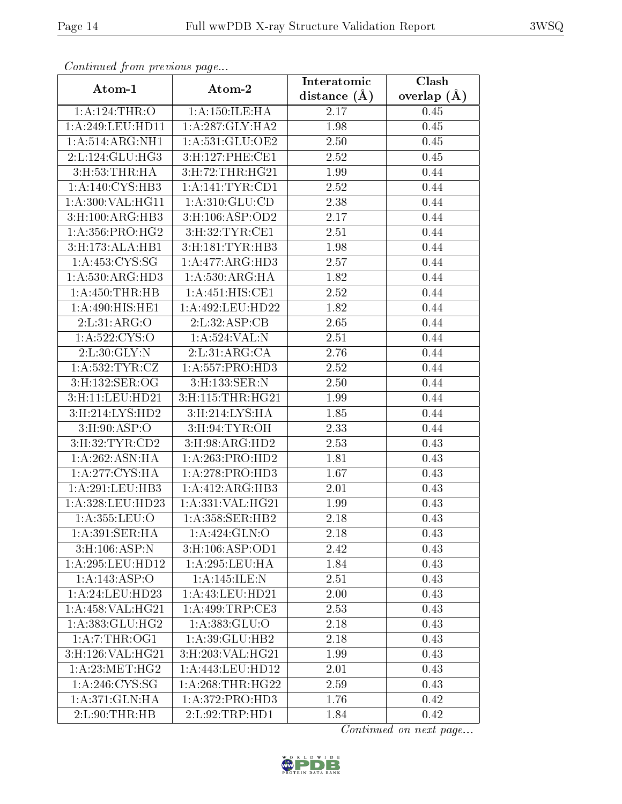| Comunaca jiom previous page  |                      | Interatomic    | Clash         |  |
|------------------------------|----------------------|----------------|---------------|--|
| Atom-1                       | Atom-2               | distance $(A)$ | overlap $(A)$ |  |
| 1: A:124:THR:O               | 1:A:150:ILE:HA       | 2.17           | 0.45          |  |
| 1: A:249:LEU:HD11            | 1:A:287:GLY:HA2      | 1.98           | 0.45          |  |
| 1: A:514: ARG: NH1           | 1: A:531: GLU:OE2    | 2.50           | $0.45\,$      |  |
| 2: L: 124: GLU: HG3          | 3: H: 127: PHE: CE1  | 2.52           | 0.45          |  |
| 3: H: 53: THR: HA            | 3: H: 72: THR: HG21  | 1.99           | 0.44          |  |
| $1:A:140:CYS:H\overline{B3}$ | 1:A:141:TYR:CD1      | 2.52           | 0.44          |  |
| 1: A:300: VAL: HG11          | 1: A:310: GLU:CD     | 2.38           | 0.44          |  |
| 3: H: 100: ARG: HB3          | 3:H:106:ASP:OD2      | 2.17           | 0.44          |  |
| 1: A: 356: PRO:HG2           | 3:H:32:TYR:CE1       | 2.51           | 0.44          |  |
| 3:H:173:ALA:HB1              | 3:H:181:TYR:HB3      | 1.98           | 0.44          |  |
| 1:A:453:CYS:SG               | 1:A:477:ARG:HD3      | 2.57           | 0.44          |  |
| 1:A:530:ARG:HD3              | 1: A:530:ARG:HA      | 1.82           | 0.44          |  |
| 1:A:450:THR:HB               | 1: A:451: HIS: CE1   | 2.52           | 0.44          |  |
| 1:A:490:HIS:HE1              | 1:A:492:LEU:HD22     | 1.82           | 0.44          |  |
| 2: L:31: ARG:O               | 2:L:32:ASP:CB        | 2.65           | 0.44          |  |
| 1: A: 522: CYS:O             | 1:A:524:VAL:N        | 2.51           | 0.44          |  |
| 2:L:30:GLY:N                 | 2:L:31:ARG:CA        | 2.76           | 0.44          |  |
| 1: A:532:TYR:CZ              | 1: A: 557: PRO: HD3  | 2.52           | 0.44          |  |
| 3:H:132:SER:OG               | 3:H:133:SER:N        | 2.50           | 0.44          |  |
| 3: H: 11: LEU: HD21          | 3:H:115:THR:HG21     | 1.99           | 0.44          |  |
| 3:H:214:LYS:HD2              | 3:H:214:LYS:HA       | 1.85           | 0.44          |  |
| 3: H:90: ASP:O               | 3: H:94: TYR: OH     | 2.33           | 0.44          |  |
| 3: H:32: TYR: CD2            | 3:H:98:ARG:HD2       | 2.53           | 0.43          |  |
| 1: A:262: ASN: HA            | 1:A:263:PRO:HD2      | 1.81           | 0.43          |  |
| 1:A:277:CYS:HA               | 1: A:278: PRO:HD3    | 1.67           | 0.43          |  |
| 1: A:291:LEU:HB3             | 1:A:412:ARG:HB3      | 2.01           | 0.43          |  |
| 1:A:328:LEU:HD23             | 1:A:331:VAL:HG21     | 1.99           | 0.43          |  |
| 1:A:355:LEU:O                | 1:A:358:SER:HB2      | 2.18           | 0.43          |  |
| 1:A:391:SER:HA               | 1: A:424: GLN:O      | 2.18           | 0.43          |  |
| $3:$ H:106:ASP:N             | 3:H:106:ASP:OD1      | 2.42           | 0.43          |  |
| 1: A:295:LEU:HD12            | 1: A:295:LEU:HA      | 1.84           | 0.43          |  |
| 1:A:143:ASP:O                | 1:A:145:ILE:N        | 2.51           | 0.43          |  |
| 1: A:24:LEU:HD23             | 1:A:43:LEU:HD21      | 2.00           | 0.43          |  |
| 1:A:458:VAL:HG21             | 1:A:499:TRP:CE3      | 2.53           | 0.43          |  |
| 1:A:383:GLU:HG2              | 1: A: 383: GLU: O    | 2.18           | 0.43          |  |
| 1:A:7:THR:OG1                | 1:A:39:GLU:HB2       | 2.18           | 0.43          |  |
| 3:H:126:VAL:HG21             | 3:H:203:VAL:HG21     | 1.99           | 0.43          |  |
| 1: A:23:MET:HG2              | 1: A: 443: LEU: HD12 | 2.01           | 0.43          |  |
| 1: A:246:CYS:SG              | 1: A:268:THR:HG22    | 2.59           | 0.43          |  |
| 1:A:371:GLN:HA               | 1:A:372:PRO:HD3      | 1.76           | 0.42          |  |
| 2: L:90: THR:HB              | 2:L:92:TRP:HD1       | 1.84           | 0.42          |  |

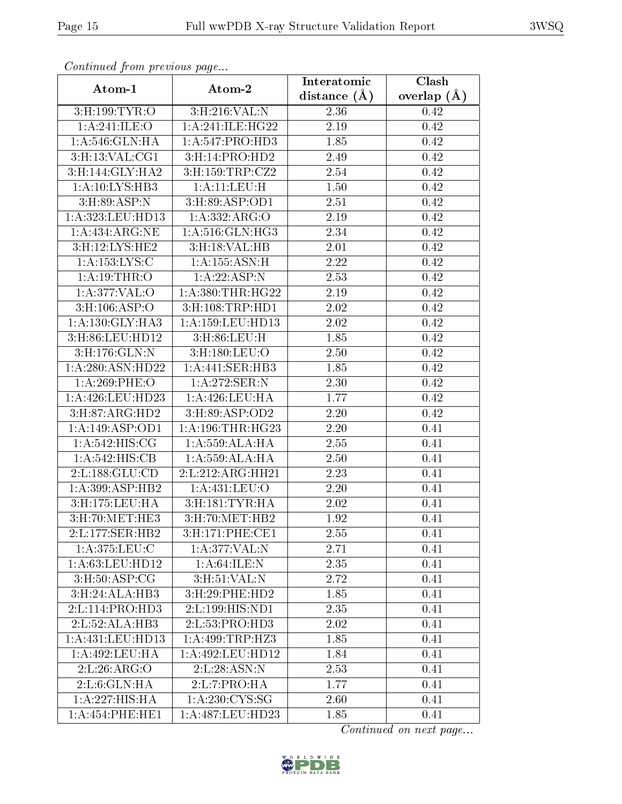| Continuati pont previous page |                                        | Interatomic    | $\overline{\text{Clash}}$ |  |
|-------------------------------|----------------------------------------|----------------|---------------------------|--|
| Atom-1                        | Atom-2                                 | distance $(A)$ | overlap $(\AA)$           |  |
| 3: H: 199: TYR: O             | 3:H:216:VAL:N                          | 2.36           | 0.42                      |  |
| 1:A:241:ILE:O                 | 1:A:241:ILE:HG22                       | 2.19           | 0.42                      |  |
| 1: A:546: GLN: HA             | 1: A:547: PRO:HD3                      | 1.85           | 0.42                      |  |
| 3:H:13:VAL:CG1                | 3: H: 14: PRO: HD2                     | 2.49           | 0.42                      |  |
| 3:H:144:GLY:HA2               | 3: H: 159: TRP: CZ2                    | $2.54\,$       | 0.42                      |  |
| 1: A:10: LYS:HB3              | 1: A:11:LEV:H                          | 1.50           | 0.42                      |  |
| 3:H:89:ASP:N                  | 3:H:89:ASP:OD1                         | 2.51           | 0.42                      |  |
| 1: A:323:LEU:HD13             | 1:A:332:ARG:O                          | 2.19           | 0.42                      |  |
| 1:A:434:ARG:NE                | 1:A:516:GLN:HG3                        | 2.34           | 0.42                      |  |
| 3:H:12:LYS:HE2                | 3: H: 18: VAL: HB                      | 2.01           | 0.42                      |  |
| 1: A: 153: LYS: C             | 1: A: 155: ASN:H                       | 2.22           | 0.42                      |  |
| 1:A:19:THR:O                  | 1:A:22:ASP:N                           | 2.53           | 0.42                      |  |
| $1: A:377:\overline{VAL:O}$   | 1: A: 380: THR: HG22                   | 2.19           | 0.42                      |  |
| $3: H: 106: \overline{ASP:O}$ | $3: H: 108: \overline{\text{TRP:HD1}}$ | 2.02           | 0.42                      |  |
| 1: A: 130: GLY: HA3           | 1:A:159:LEU:HD13                       | 2.02           | 0.42                      |  |
| 3:H:86:LEU:HD12               | 3: H:86: LEU:H                         | 1.85           | 0.42                      |  |
| 3:H:176:GLN:N                 | 3:H:180:LEU:O                          | 2.50           | 0.42                      |  |
| 1:A:280:ASN:HD22              | 1:A:441:SER:HB3                        | 1.85           | 0.42                      |  |
| 1:A:269:PHE:O                 | 1:A:272:SER:N                          | 2.30           | 0.42                      |  |
| 1: A:426: LEU: HD23           | 1: A:426: LEU: HA                      | 1.77           | 0.42                      |  |
| 3:H:87:ARG:HD2                | 3: H:89: ASP:OD2                       | 2.20           | 0.42                      |  |
| 1:A:149:ASP:OD1               | 1: A:196:THR:HG23                      | 2.20           | 0.41                      |  |
| 1: A:542: HIS: CG             | 1:A:559:ALA:HA                         | 2.55           | 0.41                      |  |
| 1:A:542:HIS:CB                | 1:A:559:ALA:HA                         | 2.50           | 0.41                      |  |
| 2:L:188:GLU:CD                | 2:L:212:ARG:HH21                       | 2.23           | 0.41                      |  |
| 1: A:399: ASP:HB2             | 1: A: 431: LEU: O                      | 2.20           | 0.41                      |  |
| 3:H:175:LEU:HA                | 3: H: 181: TYR: HA                     | 2.02           | 0.41                      |  |
| 3: H:70: MET:HE3              | 3: H:70: MET:HB2                       | 1.92           | 0.41                      |  |
| 2:L:177:SER:HB2               | 3: H:171: PHE: CE1                     | 2.55           | 0.41                      |  |
| 1: A:375:LEU:C                | 1:A:377:VAL:N                          | 2.71           | 0.41                      |  |
| 1: A:63:LEU:HD12              | 1: A:64: ILE:N                         | 2.35           | 0.41                      |  |
| 3: H: 50: ASP: CG             | $3: H: 51: V\overline{\mathrm{AL}:N}$  | 2.72           | 0.41                      |  |
| 3: H:24: ALA:HB3              | 3:H:29:PHE:HD2                         | 1.85           | 0.41                      |  |
| 2: L: 114: PRO: HD3           | 2:L:199:HIS:ND1                        | 2.35           | 0.41                      |  |
| 2:L:52:ALA:HB3                | 2: L: 53: PRO:H <sub>D3</sub>          | 2.02           | 0.41                      |  |
| 1: A:431:LEU:HD13             | 1:A:499:TRP:HZ3                        | 1.85           | 0.41                      |  |
| 1: A:492:LEU:HA               | 1:A:492:LEU:HD12                       | 1.84           | 0.41                      |  |
| 2: L:26: ARG:O                | 2:L:28:ASN:N                           | 2.53           | 0.41                      |  |
| 2: L:6: GLN: HA               | 2: L: 7: PRO: HA                       | 1.77           | 0.41                      |  |
| 1: A: 227: HIS: HA            | 1:A:230:CYS:SG                         | 2.60           | 0.41                      |  |
| 1: A: 454: PHE: HE1           | 1:A:487:LEU:HD23                       | 1.85           | 0.41                      |  |

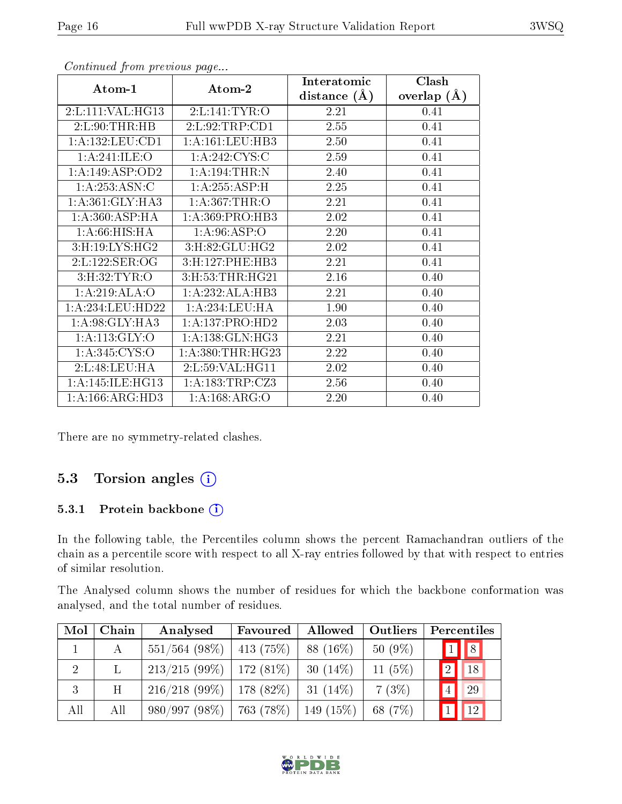|                     |                      | Interatomic    | Clash         |
|---------------------|----------------------|----------------|---------------|
| Atom-1              | Atom-2               | distance $(A)$ | overlap $(A)$ |
| 2:L:111:VAL:HG13    | 2:LI:141:TYR:O       | 2.21           | 0.41          |
| 2: L:90:THR:HB      | 2:L:92:TRP:CD1       | 2.55           | 0.41          |
| 1:A:132:LEU:CD1     | 1: A: 161: LEU: HB3  | 2.50           | 0.41          |
| 1:A:241:ILE:O       | 1: A:242: CYS:C      | 2.59           | 0.41          |
| 1:A:149:ASP:OD2     | 1:A:194:THR:N        | 2.40           | 0.41          |
| 1: A:253: ASN: C    | 1:A:255:ASP:H        | 2.25           | 0.41          |
| 1: A:361: GLY:HA3   | 1: A:367:THR:O       | 2.21           | 0.41          |
| 1: A:360: ASP:HA    | 1: A:369: PRO:HB3    | 2.02           | 0.41          |
| 1: A:66: HIS: HA    | 1: A:96: ASP:O       | 2.20           | 0.41          |
| 3: H: 19: LYS: HG2  | 3:H:82:GLU:HG2       | 2.02           | 0.41          |
| 2:L:122:SER:OG      | 3:H:127:PHE:HB3      | 2.21           | 0.41          |
| 3: H:32: TYR:O      | 3:H:53:THR:HG21      | 2.16           | 0.40          |
| 1:A:219:ALA:O       | 1:A:232:ALA:HB3      | 2.21           | 0.40          |
| 1:A:234:LEU:HD22    | 1:A:234:LEU:HA       | 1.90           | 0.40          |
| 1: A:98: GLY:HA3    | 1:A:137:PRO:HD2      | 2.03           | 0.40          |
| 1: A:113: GLY:O     | 1:A:138:GLN:HG3      | 2.21           | 0.40          |
| 1: A:345: CYS:O     | 1: A: 380: THR: HG23 | 2.22           | 0.40          |
| 2: L:48: LEU: HA    | 2: L: 59: VAL:HGI1   | 2.02           | 0.40          |
| 1: A:145: ILE: HG13 | 1: A: 183: TRP: CZ3  | 2.56           | 0.40          |
| 1: A: 166: ARG: HD3 | 1: A: 168: ARG: O    | 2.20           | 0.40          |

There are no symmetry-related clashes.

## 5.3 Torsion angles (i)

#### 5.3.1 Protein backbone (i)

In the following table, the Percentiles column shows the percent Ramachandran outliers of the chain as a percentile score with respect to all X-ray entries followed by that with respect to entries of similar resolution.

The Analysed column shows the number of residues for which the backbone conformation was analysed, and the total number of residues.

| Mol            | Chain | Analysed                                  | Favoured   | Allowed    | <b>Outliers</b> |                 | Percentiles  |  |
|----------------|-------|-------------------------------------------|------------|------------|-----------------|-----------------|--------------|--|
|                | A     | $551/564$ (98%)                           | 413 (75\%) | $88(16\%)$ | $50(9\%)$       |                 | $1$ 8        |  |
| $\overline{2}$ |       | $213/215(99\%)$   172 (81\%)              |            | $30(14\%)$ | 11 $(5%)$       | $\boxed{2}$     | 18           |  |
| 3              | Η     | $216/218$ (99\%)   178 (82\%)             |            | $31(14\%)$ | 7(3%)           | $\vert 4 \vert$ | 29           |  |
| All            | All   | $980/997(98\%)$   763 (78\%)   149 (15\%) |            |            | 68 (7\%)        |                 | $\boxed{12}$ |  |



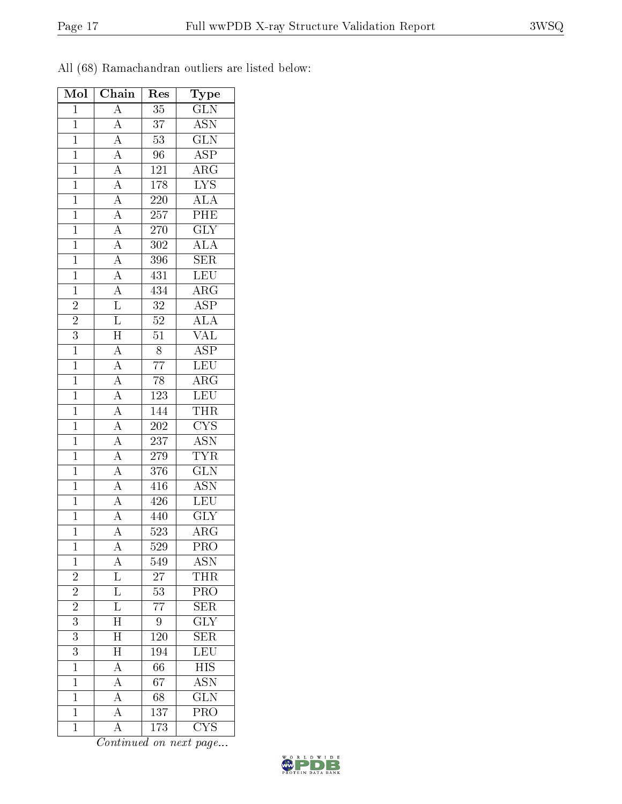All (68) Ramachandran outliers are listed below:

| Mol            | Chain                                                                                                                                                                                                                                                                                                                                                                                                                                                                           | Res              | Type                                                                  |
|----------------|---------------------------------------------------------------------------------------------------------------------------------------------------------------------------------------------------------------------------------------------------------------------------------------------------------------------------------------------------------------------------------------------------------------------------------------------------------------------------------|------------------|-----------------------------------------------------------------------|
| $\mathbf{1}$   | $\overline{A}$                                                                                                                                                                                                                                                                                                                                                                                                                                                                  | $\overline{35}$  | $\overline{\text{GLN}}$                                               |
| $\overline{1}$ |                                                                                                                                                                                                                                                                                                                                                                                                                                                                                 | $\overline{37}$  | $\overline{\mathrm{ASN}}$                                             |
| $\overline{1}$ |                                                                                                                                                                                                                                                                                                                                                                                                                                                                                 | $\overline{53}$  | $\overline{\text{GLN}}$                                               |
| $\mathbf{1}$   |                                                                                                                                                                                                                                                                                                                                                                                                                                                                                 | $\overline{96}$  | $\overline{\text{ASP}}$                                               |
| $\mathbf{1}$   |                                                                                                                                                                                                                                                                                                                                                                                                                                                                                 | 121              | $\overline{\rm{ARG}}$                                                 |
| $\overline{1}$ |                                                                                                                                                                                                                                                                                                                                                                                                                                                                                 | 178              | $\overline{\text{LYS}}$                                               |
| $\overline{1}$ |                                                                                                                                                                                                                                                                                                                                                                                                                                                                                 | <b>220</b>       | $\frac{\overline{\text{ALA}}}{\overline{\text{PHE}}}$                 |
| $\overline{1}$ |                                                                                                                                                                                                                                                                                                                                                                                                                                                                                 | $\overline{257}$ |                                                                       |
| $\mathbf{1}$   |                                                                                                                                                                                                                                                                                                                                                                                                                                                                                 | 270              | $\frac{1}{\text{GLY}}$                                                |
| $\overline{1}$ |                                                                                                                                                                                                                                                                                                                                                                                                                                                                                 | $\overline{302}$ | $\overline{\text{ALA}}$                                               |
| $\mathbf{1}$   |                                                                                                                                                                                                                                                                                                                                                                                                                                                                                 | 396              | $\overline{\text{SER}}$                                               |
| $\overline{1}$ |                                                                                                                                                                                                                                                                                                                                                                                                                                                                                 | 431              | LEU                                                                   |
| $\overline{1}$ |                                                                                                                                                                                                                                                                                                                                                                                                                                                                                 | 434              | $\overline{\rm{ARG}}$                                                 |
| $\overline{2}$ | $\frac{\frac{1}{\sqrt{A}} \cdot \frac{1}{\sqrt{A}} \cdot \frac{1}{\sqrt{A}} \cdot \frac{1}{\sqrt{A}} \cdot \frac{1}{\sqrt{A}} \cdot \frac{1}{\sqrt{A}} \cdot \frac{1}{\sqrt{A}} \cdot \frac{1}{\sqrt{A}} \cdot \frac{1}{\sqrt{A}} \cdot \frac{1}{\sqrt{A}} \cdot \frac{1}{\sqrt{A}} \cdot \frac{1}{\sqrt{A}} \cdot \frac{1}{\sqrt{A}} \cdot \frac{1}{\sqrt{A}} \cdot \frac{1}{\sqrt{A}} \cdot \frac{1}{\sqrt{A}} \cdot \frac{1}{\sqrt{A}} \cdot \frac{1}{\sqrt{A}} \cdot \frac$ | $\overline{32}$  | $\overline{\text{ASP}}$                                               |
| $\overline{2}$ |                                                                                                                                                                                                                                                                                                                                                                                                                                                                                 | $\overline{52}$  | $\overline{\rm ALA}$                                                  |
| $\overline{3}$ |                                                                                                                                                                                                                                                                                                                                                                                                                                                                                 | $\overline{51}$  | $\overline{\text{VAL}}$                                               |
| $\overline{1}$ | $\frac{\overline{A}}{\overline{A}}$ $\frac{\overline{A}}{\overline{A}}$ $\frac{\overline{A}}{\overline{A}}$ $\frac{\overline{A}}{\overline{A}}$ $\frac{\overline{A}}{\overline{A}}$ $\frac{\overline{A}}{\overline{A}}$                                                                                                                                                                                                                                                         | $\overline{8}$   | $\overline{\text{ASP}}$                                               |
| $\overline{1}$ |                                                                                                                                                                                                                                                                                                                                                                                                                                                                                 | $\overline{77}$  | LEU                                                                   |
| $\mathbf{1}$   |                                                                                                                                                                                                                                                                                                                                                                                                                                                                                 | $\overline{78}$  | $\overline{\rm{ARG}}$                                                 |
| $\overline{1}$ |                                                                                                                                                                                                                                                                                                                                                                                                                                                                                 | <b>123</b>       | <b>LEU</b>                                                            |
| $\overline{1}$ |                                                                                                                                                                                                                                                                                                                                                                                                                                                                                 | 144              | <b>THR</b>                                                            |
| $\overline{1}$ |                                                                                                                                                                                                                                                                                                                                                                                                                                                                                 | $\overline{202}$ | $\frac{\frac{\text{CYS}}{\text{GYN}}}{\frac{\text{TYR}}{\text{GLN}}}$ |
| $\overline{1}$ |                                                                                                                                                                                                                                                                                                                                                                                                                                                                                 | 237              |                                                                       |
| $\mathbf{1}$   |                                                                                                                                                                                                                                                                                                                                                                                                                                                                                 | 279              |                                                                       |
| $\overline{1}$ |                                                                                                                                                                                                                                                                                                                                                                                                                                                                                 | 376              |                                                                       |
| $\overline{1}$ |                                                                                                                                                                                                                                                                                                                                                                                                                                                                                 | 416              | <b>ASN</b>                                                            |
| $\overline{1}$ |                                                                                                                                                                                                                                                                                                                                                                                                                                                                                 | 426              | $\overline{\text{LEU}}$                                               |
| $\overline{1}$ | $\overline{A}$                                                                                                                                                                                                                                                                                                                                                                                                                                                                  | 440              | $\overline{\text{GLY}}$                                               |
| $\overline{1}$ | $\overline{A}$                                                                                                                                                                                                                                                                                                                                                                                                                                                                  | $\overline{523}$ | $\overline{\rm{ARG}}$                                                 |
| $\mathbf 1$    | $\mathbf{A}$                                                                                                                                                                                                                                                                                                                                                                                                                                                                    | 529              | PRO                                                                   |
| $\overline{1}$ | $\frac{\overline{A}}{\overline{L}}$                                                                                                                                                                                                                                                                                                                                                                                                                                             | 549              | ASN                                                                   |
| $\overline{2}$ |                                                                                                                                                                                                                                                                                                                                                                                                                                                                                 | $\overline{27}$  | THR                                                                   |
| $\overline{2}$ | $\overline{\mathrm{L}}$                                                                                                                                                                                                                                                                                                                                                                                                                                                         | $\overline{53}$  | PRO                                                                   |
| $\overline{c}$ | $\bar{\bar{\text{L}}}$                                                                                                                                                                                                                                                                                                                                                                                                                                                          | 77               | $\overline{\text{SER}}$                                               |
| $\overline{3}$ | $\overline{\text{H}}$                                                                                                                                                                                                                                                                                                                                                                                                                                                           | 9                | $\overline{\text{GLY}}$                                               |
| $\overline{3}$ | $\overline{H}$                                                                                                                                                                                                                                                                                                                                                                                                                                                                  | 120              | <b>SER</b>                                                            |
| $\overline{3}$ | $\overline{\rm H}$                                                                                                                                                                                                                                                                                                                                                                                                                                                              | $\overline{194}$ | $\overline{\text{LEU}}$                                               |
| $\mathbf{1}$   | $\frac{\overline{A}}{\overline{A}}$                                                                                                                                                                                                                                                                                                                                                                                                                                             | 66               | $\overline{HIS}$                                                      |
| $\mathbf 1$    |                                                                                                                                                                                                                                                                                                                                                                                                                                                                                 | 67               | $\overline{\mathrm{ASN}}$                                             |
| $\mathbf{1}$   | $\overline{A}$                                                                                                                                                                                                                                                                                                                                                                                                                                                                  | 68               | $\overline{\text{GLN}}$                                               |
| $\mathbf{1}$   | $\overline{A}$                                                                                                                                                                                                                                                                                                                                                                                                                                                                  | 137              | PRO                                                                   |
| $\mathbf{1}$   | $\overline{A}$                                                                                                                                                                                                                                                                                                                                                                                                                                                                  | 173              | $\overline{\text{CYS}}$                                               |

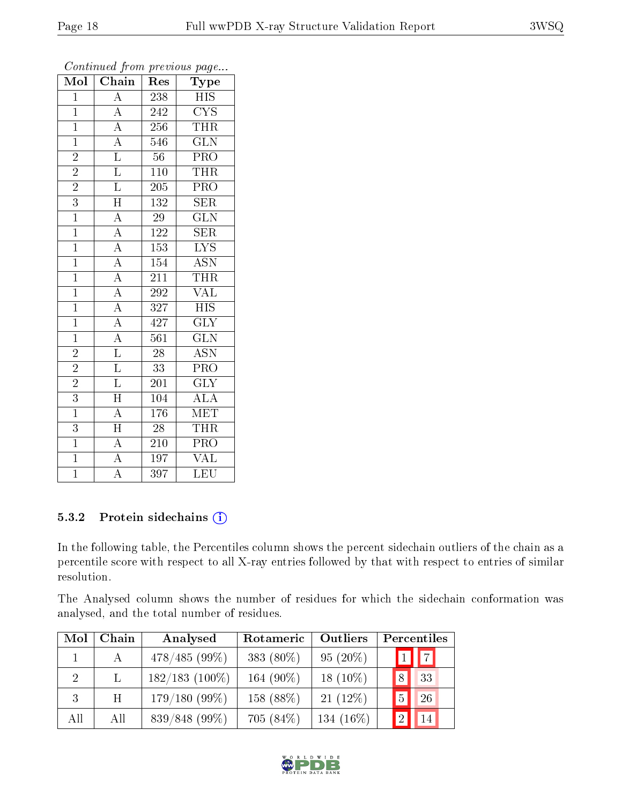| $\overline{\text{Mol}}$ | $\cdot$<br>$\overline{\text{Chain}}$                                    | ı.<br>Res        | $\mathbf{r}$<br>$\overline{v}$<br>Type |
|-------------------------|-------------------------------------------------------------------------|------------------|----------------------------------------|
| $\overline{1}$          | $\overline{A}$                                                          | 238              | <b>HIS</b>                             |
| $\overline{1}$          | $\overline{A}$                                                          | 242              | <b>CYS</b>                             |
| $\overline{1}$          | $\overline{A}$                                                          | 256              | <b>THR</b>                             |
| $\mathbf{1}$            | $\frac{\overline{A}}{\overline{L}}$ $\frac{\overline{L}}{\overline{L}}$ | 546              | $\overline{\text{GLN}}$                |
| $\overline{2}$          |                                                                         | $56\,$           | $\overline{\text{PRO}}$                |
| $\overline{2}$          |                                                                         | 110              | <b>THR</b>                             |
| $\overline{2}$          |                                                                         | $205\,$          | PRO                                    |
| $\overline{3}$          | $\overline{\rm H}$                                                      | 132              | $\overline{\text{SER}}$                |
| $\overline{1}$          | $\overline{A}$                                                          | 29               | $\overline{\text{GLN}}$                |
| $\overline{1}$          | $\frac{\overline{A}}{\overline{A}}$                                     | 122              | $\overline{\text{SER}}$                |
| $\overline{1}$          |                                                                         | 153              | $\overline{\text{LYS}}$                |
| $\overline{1}$          | $\frac{\overline{A}}{\overline{A}}$                                     | $\overline{154}$ | $\overline{\mathrm{ASN}}$              |
| $\overline{1}$          |                                                                         | 211              | <b>THR</b>                             |
| $\overline{1}$          |                                                                         | 292              | $\overline{\text{VAL}}$                |
| $\overline{1}$          | $\frac{\overline{A}}{\overline{A}}$ $\frac{\overline{A}}{\overline{L}}$ | 327              | $\overline{HIS}$                       |
| $\overline{1}$          |                                                                         | 427              | $\overline{\text{GLY}}$                |
| $\overline{1}$          |                                                                         | $\overline{561}$ | $\overline{\text{GLN}}$                |
| $\overline{2}$          |                                                                         | $\overline{28}$  | <b>ASN</b>                             |
| $\overline{2}$          | $\overline{\mathrm{L}}$                                                 | 33               | $\overline{\text{PRO}}$                |
| $\overline{2}$          | $\overline{\mathbf{L}}$                                                 | 201              | $\overline{\text{GLY}}$                |
| $\overline{3}$          | $\overline{\rm H}$                                                      | 104              | <b>ALA</b>                             |
| $\overline{1}$          | $\overline{A}$                                                          | 176              | $\overline{\text{MET}}$                |
| $\overline{3}$          | $\overline{\rm H}$                                                      | 28               | <b>THR</b>                             |
| $\overline{1}$          | $\overline{A}$                                                          | $\overline{210}$ | $\overline{\text{PRO}}$                |
| $\overline{1}$          | $\overline{A}$                                                          | 197              | $\overline{\text{VAL}}$                |
| $\overline{1}$          | $\overline{\overline{A}}$                                               | $\overline{397}$ | $\overline{\text{LEU}}$                |

### 5.3.2 Protein sidechains (i)

In the following table, the Percentiles column shows the percent sidechain outliers of the chain as a percentile score with respect to all X-ray entries followed by that with respect to entries of similar resolution.

The Analysed column shows the number of residues for which the sidechain conformation was analysed, and the total number of residues.

| Mol            | Chain | Analysed         | Rotameric    | Outliers     | Percentiles |
|----------------|-------|------------------|--------------|--------------|-------------|
|                |       | $478/485(99\%)$  | 383 (80%)    | $95(20\%)$   | $1$ $ 7 $   |
| $\overline{2}$ |       | $182/183$ (100%) | 164 $(90\%)$ | 18 $(10\%)$  | 33          |
| 3              | H     | $179/180(99\%)$  | 158 (88%)    | $21(12\%)$   | 26          |
| All            | All   | 839/848 (99%)    | 705(84%)     | 134 $(16\%)$ | 14          |

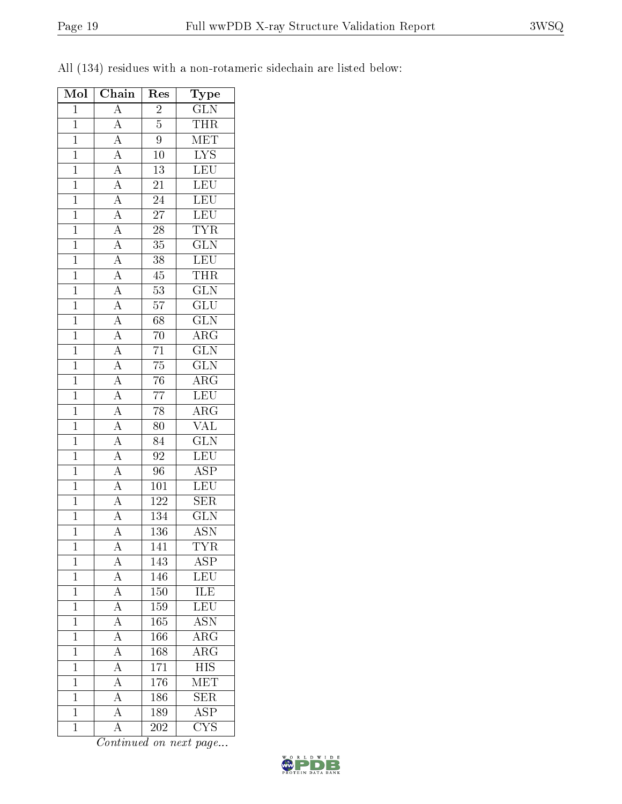| Type<br>GLN<br>$\frac{\overline{A}}{\overline{A}}\frac{\overline{A}}{\overline{A}}\frac{\overline{A}}{\overline{A}}\frac{\overline{A}}{\overline{A}}\frac{\overline{A}}{\overline{A}}\frac{\overline{A}}{\overline{A}}\frac{\overline{A}}{\overline{A}}\frac{\overline{A}}{\overline{A}}\frac{\overline{A}}{\overline{A}}\frac{\overline{A}}{\overline{A}}\frac{\overline{A}}{\overline{A}}\frac{\overline{A}}{\overline{A}}\frac{\overline{A}}{\overline{A}}\frac{\overline{A}}{\overline{A}}$<br>$\mathbf{1}$<br>$\overline{c}$<br>THR<br>MET<br>$\overline{5}$<br>$\mathbf{1}$<br>$\overline{9}$<br>$\overline{1}$<br>$\frac{\overline{\text{LYS}}}{\text{LEU}}$<br>$\overline{1}$<br>$10\,$<br>$\overline{1}$<br>$\overline{13}$<br>LEU<br>LEU<br>LEU<br>LEU<br>TYR<br>$\overline{1}$<br>$\overline{21}$<br>$\overline{24}$<br>$\overline{1}$<br>$\overline{27}$<br>$\overline{1}$<br>$\overline{1}$<br>$\overline{28}$<br>$\frac{\overline{\text{GLN}}}{\overline{\text{}}$<br>$\overline{1}$<br>$\overline{35}$<br>LEU<br>$\overline{1}$<br>$\overline{38}$<br>$\frac{\overline{\text{THR}}}{\text{GLN}}$<br>$\overline{45}$<br>$\mathbf{1}$<br>$\overline{53}$<br>$\overline{1}$<br>$\overline{{\rm GLU}}$<br>$\overline{1}$<br>$\overline{57}$ |
|--------------------------------------------------------------------------------------------------------------------------------------------------------------------------------------------------------------------------------------------------------------------------------------------------------------------------------------------------------------------------------------------------------------------------------------------------------------------------------------------------------------------------------------------------------------------------------------------------------------------------------------------------------------------------------------------------------------------------------------------------------------------------------------------------------------------------------------------------------------------------------------------------------------------------------------------------------------------------------------------------------------------------------------------------------------------------------------------------------------------------------------------------------------------------------------------------------------------------------------------------------|
|                                                                                                                                                                                                                                                                                                                                                                                                                                                                                                                                                                                                                                                                                                                                                                                                                                                                                                                                                                                                                                                                                                                                                                                                                                                        |
|                                                                                                                                                                                                                                                                                                                                                                                                                                                                                                                                                                                                                                                                                                                                                                                                                                                                                                                                                                                                                                                                                                                                                                                                                                                        |
|                                                                                                                                                                                                                                                                                                                                                                                                                                                                                                                                                                                                                                                                                                                                                                                                                                                                                                                                                                                                                                                                                                                                                                                                                                                        |
|                                                                                                                                                                                                                                                                                                                                                                                                                                                                                                                                                                                                                                                                                                                                                                                                                                                                                                                                                                                                                                                                                                                                                                                                                                                        |
|                                                                                                                                                                                                                                                                                                                                                                                                                                                                                                                                                                                                                                                                                                                                                                                                                                                                                                                                                                                                                                                                                                                                                                                                                                                        |
|                                                                                                                                                                                                                                                                                                                                                                                                                                                                                                                                                                                                                                                                                                                                                                                                                                                                                                                                                                                                                                                                                                                                                                                                                                                        |
|                                                                                                                                                                                                                                                                                                                                                                                                                                                                                                                                                                                                                                                                                                                                                                                                                                                                                                                                                                                                                                                                                                                                                                                                                                                        |
|                                                                                                                                                                                                                                                                                                                                                                                                                                                                                                                                                                                                                                                                                                                                                                                                                                                                                                                                                                                                                                                                                                                                                                                                                                                        |
|                                                                                                                                                                                                                                                                                                                                                                                                                                                                                                                                                                                                                                                                                                                                                                                                                                                                                                                                                                                                                                                                                                                                                                                                                                                        |
|                                                                                                                                                                                                                                                                                                                                                                                                                                                                                                                                                                                                                                                                                                                                                                                                                                                                                                                                                                                                                                                                                                                                                                                                                                                        |
|                                                                                                                                                                                                                                                                                                                                                                                                                                                                                                                                                                                                                                                                                                                                                                                                                                                                                                                                                                                                                                                                                                                                                                                                                                                        |
|                                                                                                                                                                                                                                                                                                                                                                                                                                                                                                                                                                                                                                                                                                                                                                                                                                                                                                                                                                                                                                                                                                                                                                                                                                                        |
|                                                                                                                                                                                                                                                                                                                                                                                                                                                                                                                                                                                                                                                                                                                                                                                                                                                                                                                                                                                                                                                                                                                                                                                                                                                        |
|                                                                                                                                                                                                                                                                                                                                                                                                                                                                                                                                                                                                                                                                                                                                                                                                                                                                                                                                                                                                                                                                                                                                                                                                                                                        |
| $\overline{\text{GLN}}$<br>$\overline{1}$<br>68                                                                                                                                                                                                                                                                                                                                                                                                                                                                                                                                                                                                                                                                                                                                                                                                                                                                                                                                                                                                                                                                                                                                                                                                        |
| $\overline{\text{ARG}}$<br>$\mathbf{1}$<br>$70\,$                                                                                                                                                                                                                                                                                                                                                                                                                                                                                                                                                                                                                                                                                                                                                                                                                                                                                                                                                                                                                                                                                                                                                                                                      |
| $\overline{\text{GLN}}$<br>$\overline{71}$<br>$\mathbf{1}$                                                                                                                                                                                                                                                                                                                                                                                                                                                                                                                                                                                                                                                                                                                                                                                                                                                                                                                                                                                                                                                                                                                                                                                             |
| $\overline{\text{GLN}}$<br>$\overline{75}$<br>$\overline{1}$                                                                                                                                                                                                                                                                                                                                                                                                                                                                                                                                                                                                                                                                                                                                                                                                                                                                                                                                                                                                                                                                                                                                                                                           |
| $\frac{\overbrace{\text{ARG}}}{\text{LEU}} \frac{\overbrace{\text{LEU}}}{\text{ARG}}$<br>$\overline{1}$<br>$\overline{76}$                                                                                                                                                                                                                                                                                                                                                                                                                                                                                                                                                                                                                                                                                                                                                                                                                                                                                                                                                                                                                                                                                                                             |
| $\overline{77}$<br>$\overline{1}$                                                                                                                                                                                                                                                                                                                                                                                                                                                                                                                                                                                                                                                                                                                                                                                                                                                                                                                                                                                                                                                                                                                                                                                                                      |
| $\overline{78}$<br>$\mathbf{1}$                                                                                                                                                                                                                                                                                                                                                                                                                                                                                                                                                                                                                                                                                                                                                                                                                                                                                                                                                                                                                                                                                                                                                                                                                        |
| $\overline{80}$<br>$\mathbf{1}$                                                                                                                                                                                                                                                                                                                                                                                                                                                                                                                                                                                                                                                                                                                                                                                                                                                                                                                                                                                                                                                                                                                                                                                                                        |
| $\frac{\overline{\text{GLN}}}{\text{LEU}}$<br>$\overline{1}$<br>84                                                                                                                                                                                                                                                                                                                                                                                                                                                                                                                                                                                                                                                                                                                                                                                                                                                                                                                                                                                                                                                                                                                                                                                     |
| $\overline{1}$<br>$\overline{92}$                                                                                                                                                                                                                                                                                                                                                                                                                                                                                                                                                                                                                                                                                                                                                                                                                                                                                                                                                                                                                                                                                                                                                                                                                      |
| $\overline{96}$<br>$\overline{1}$                                                                                                                                                                                                                                                                                                                                                                                                                                                                                                                                                                                                                                                                                                                                                                                                                                                                                                                                                                                                                                                                                                                                                                                                                      |
| $\frac{\overline{\text{ASP}}}{\text{LEV}}$<br>$\overline{1}$<br>$\overline{101}$                                                                                                                                                                                                                                                                                                                                                                                                                                                                                                                                                                                                                                                                                                                                                                                                                                                                                                                                                                                                                                                                                                                                                                       |
| $\overline{1}$<br>$\overline{\text{SER}}$<br><u>122</u>                                                                                                                                                                                                                                                                                                                                                                                                                                                                                                                                                                                                                                                                                                                                                                                                                                                                                                                                                                                                                                                                                                                                                                                                |
| $\frac{\overline{A}}{\overline{A}}$<br>$\overline{\text{GLN}}$<br>$\overline{1}$<br>134                                                                                                                                                                                                                                                                                                                                                                                                                                                                                                                                                                                                                                                                                                                                                                                                                                                                                                                                                                                                                                                                                                                                                                |
| $\overline{1}$<br><b>ASN</b><br>$\overline{A}$<br>136                                                                                                                                                                                                                                                                                                                                                                                                                                                                                                                                                                                                                                                                                                                                                                                                                                                                                                                                                                                                                                                                                                                                                                                                  |
| <b>TYR</b><br>141<br>А<br>1                                                                                                                                                                                                                                                                                                                                                                                                                                                                                                                                                                                                                                                                                                                                                                                                                                                                                                                                                                                                                                                                                                                                                                                                                            |
| $A\overline{SP}$<br>$\boldsymbol{A}$<br>143<br>$\mathbf 1$                                                                                                                                                                                                                                                                                                                                                                                                                                                                                                                                                                                                                                                                                                                                                                                                                                                                                                                                                                                                                                                                                                                                                                                             |
| $\overline{A}$<br>LEU<br>$14\overline{6}$<br>$\mathbf{1}$                                                                                                                                                                                                                                                                                                                                                                                                                                                                                                                                                                                                                                                                                                                                                                                                                                                                                                                                                                                                                                                                                                                                                                                              |
| $\overline{\text{ILE}}$<br>$\rm A$<br>150<br>$\mathbf{1}$                                                                                                                                                                                                                                                                                                                                                                                                                                                                                                                                                                                                                                                                                                                                                                                                                                                                                                                                                                                                                                                                                                                                                                                              |
| $\overline{A}$<br>LEU<br>$\mathbf{1}$<br>159                                                                                                                                                                                                                                                                                                                                                                                                                                                                                                                                                                                                                                                                                                                                                                                                                                                                                                                                                                                                                                                                                                                                                                                                           |
| $\overline{A}$<br>$\overline{\text{ASN}}$<br>165<br>$\mathbf{1}$                                                                                                                                                                                                                                                                                                                                                                                                                                                                                                                                                                                                                                                                                                                                                                                                                                                                                                                                                                                                                                                                                                                                                                                       |
| $\overline{A}$<br>${\rm ARG}$<br>$\mathbf 1$<br>166                                                                                                                                                                                                                                                                                                                                                                                                                                                                                                                                                                                                                                                                                                                                                                                                                                                                                                                                                                                                                                                                                                                                                                                                    |
| $\overline{\rm A}$<br>$\overline{\rm{ARG}}$<br>$\overline{168}$<br>$\mathbf{1}$                                                                                                                                                                                                                                                                                                                                                                                                                                                                                                                                                                                                                                                                                                                                                                                                                                                                                                                                                                                                                                                                                                                                                                        |
| $\overline{A}$<br>HIS<br>171<br>$\mathbf{1}$                                                                                                                                                                                                                                                                                                                                                                                                                                                                                                                                                                                                                                                                                                                                                                                                                                                                                                                                                                                                                                                                                                                                                                                                           |
| $\overline{A}$<br>MET<br>$\overline{1}$<br>176                                                                                                                                                                                                                                                                                                                                                                                                                                                                                                                                                                                                                                                                                                                                                                                                                                                                                                                                                                                                                                                                                                                                                                                                         |
| $\overline{A}$<br><b>SER</b><br>186<br>$\mathbf{1}$                                                                                                                                                                                                                                                                                                                                                                                                                                                                                                                                                                                                                                                                                                                                                                                                                                                                                                                                                                                                                                                                                                                                                                                                    |
| $\overline{\rm A}$<br>$\overline{\text{ASP}}$<br>189<br>$\mathbf{1}$                                                                                                                                                                                                                                                                                                                                                                                                                                                                                                                                                                                                                                                                                                                                                                                                                                                                                                                                                                                                                                                                                                                                                                                   |
| $\overline{\rm A}$<br>$\overline{\text{CYS}}$<br>$\mathbf{1}$<br>202                                                                                                                                                                                                                                                                                                                                                                                                                                                                                                                                                                                                                                                                                                                                                                                                                                                                                                                                                                                                                                                                                                                                                                                   |

All (134) residues with a non-rotameric sidechain are listed below:

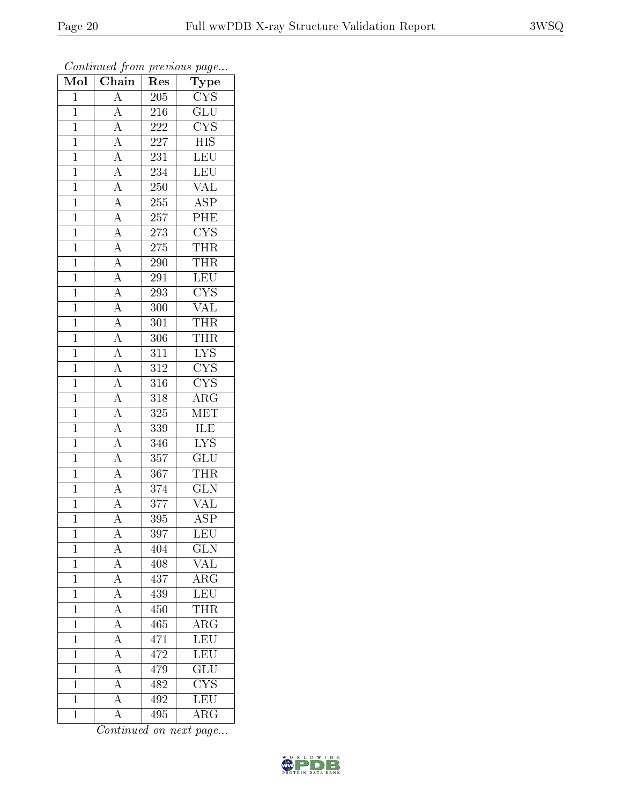| Mol            | $\overline{\text{C}}$ hain                                              | $\operatorname{Res}% \left( \mathcal{N}\right) \equiv\operatorname{Res}(\mathcal{N}_{0})\cap\mathcal{N}_{1}$ | Type                            |
|----------------|-------------------------------------------------------------------------|--------------------------------------------------------------------------------------------------------------|---------------------------------|
| $\overline{1}$ | $\overline{A}$                                                          | 205                                                                                                          | $\overline{\text{CYS}}$         |
| $\overline{1}$ | $\overline{A}$                                                          | 216                                                                                                          | $\overline{{\rm GLU}}$          |
| $\overline{1}$ | $\frac{\overline{A}}{\overline{A}}$                                     | 222                                                                                                          | $\overline{\text{CYS}}$         |
| $\mathbf{1}$   |                                                                         | 227                                                                                                          | $\overline{HIS}$                |
| $\overline{1}$ | $\frac{\overline{A}}{\overline{A}}$                                     | 231                                                                                                          | LEU                             |
| $\overline{1}$ |                                                                         | 234                                                                                                          | <b>LEU</b>                      |
| $\overline{1}$ | $\overline{A}$                                                          | 250                                                                                                          | $\overline{\text{VAL}}$         |
| $\mathbf{1}$   | $\overline{A}$                                                          | $255\,$                                                                                                      | $\overline{\text{ASP}}$         |
| $\mathbf{1}$   |                                                                         | 257                                                                                                          | $\overline{\rm{PHE}}$           |
| $\overline{1}$ | $\frac{\overline{A}}{\overline{A}}$                                     | 273                                                                                                          | $\frac{\text{CYS}}{\text{THR}}$ |
| $\overline{1}$ |                                                                         | 275                                                                                                          |                                 |
| $\overline{1}$ | $\overline{A}$                                                          | 290                                                                                                          | <b>THR</b>                      |
| $\overline{1}$ | $\overline{A}$                                                          | 291                                                                                                          | LEU                             |
| $\mathbf{1}$   | $\frac{\overline{A}}{\overline{A}}$                                     | 293                                                                                                          | $\overline{\mathrm{CYS}}$       |
| $\overline{1}$ |                                                                         | $\overline{3}00$                                                                                             | $\overline{\text{VAL}}$         |
| $\overline{1}$ | $\overline{A}$                                                          | 301                                                                                                          | THR                             |
| $\overline{1}$ | $\overline{A}$                                                          | 306                                                                                                          | <b>THR</b>                      |
| $\mathbf{1}$   | $\frac{\overline{A}}{\overline{A}}$ $\frac{\overline{A}}{\overline{A}}$ | 311                                                                                                          | $\overline{\text{LYS}}$         |
| $\mathbf{1}$   |                                                                         | 312                                                                                                          | $\overline{\text{CYS}}$         |
| $\mathbf{1}$   |                                                                         | 316                                                                                                          | $\overline{\text{CYS}}$         |
| $\mathbf{1}$   |                                                                         | 318                                                                                                          | $\widehat{\rm{ARG}}$            |
| $\overline{1}$ | $\frac{\overline{A}}{\overline{A}}$ $\frac{\overline{A}}{\overline{A}}$ | 325                                                                                                          | MET                             |
| $\mathbf{1}$   |                                                                         | 339                                                                                                          | <b>ILE</b>                      |
| $\overline{1}$ |                                                                         | 346                                                                                                          | $\overline{\text{LYS}}$         |
| $\mathbf{1}$   |                                                                         | 357                                                                                                          | $\overline{\text{GLU}}$         |
| $\overline{1}$ | $\frac{\overline{A}}{\overline{A}}$                                     | 367                                                                                                          | THR                             |
| $\overline{1}$ |                                                                         | 374                                                                                                          | $\overline{\text{GLN}}$         |
| $\overline{1}$ |                                                                         | 377                                                                                                          | $\overline{\text{VAL}}$         |
| $\overline{1}$ | $\overline{A}$                                                          | 395                                                                                                          | $\overline{\rm ASP}$            |
| $\mathbf 1$    | А                                                                       | 397                                                                                                          | LEU                             |
| $\mathbf{1}$   | $\overline{A}$                                                          | 404                                                                                                          | $\overline{\text{GLN}}$         |
| $\mathbf{1}$   | $\overline{A}$                                                          | 408                                                                                                          | $\overline{\text{VAL}}$         |
| $\mathbf{1}$   | $\overline{A}$                                                          | 437                                                                                                          | $\rm{ARG}$                      |
| $\mathbf 1$    | $\overline{A}$                                                          | 439                                                                                                          | $\overline{\text{LEU}}$         |
| $\mathbf{1}$   | $\overline{A}$                                                          | 450                                                                                                          | $T\bar{H}R$                     |
| $\mathbf{1}$   | $\overline{A}$                                                          | 465                                                                                                          | $\overline{\rm{ARG}}$           |
| $\mathbf{1}$   | $\overline{A}$                                                          | 471                                                                                                          | LEU                             |
| $\mathbf{1}$   | $\overline{A}$                                                          | 472                                                                                                          | <b>LEU</b>                      |
| $\mathbf{1}$   | $\overline{A}$                                                          | 479                                                                                                          | $\overline{{\rm GLU}}$          |
| $\mathbf{1}$   | $\overline{A}$                                                          | 482                                                                                                          | <b>CYS</b>                      |
| $\overline{1}$ | $\overline{A}$                                                          | 492                                                                                                          | $\overline{\text{LEU}}$         |
| $\mathbf{1}$   | A                                                                       | 495                                                                                                          | $\rm{ARG}$                      |

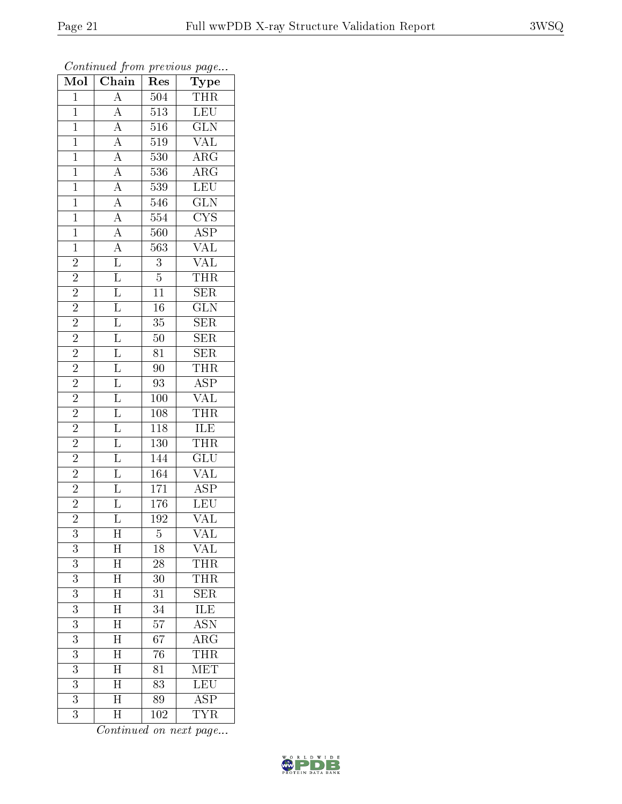| $\overline{\text{Mol}}$ | $\overline{\text{Chain}}$                                                                                                                                                                                                                                                                                                                                                     | Res              | $\mathrm{\overline{Type}}$                 |
|-------------------------|-------------------------------------------------------------------------------------------------------------------------------------------------------------------------------------------------------------------------------------------------------------------------------------------------------------------------------------------------------------------------------|------------------|--------------------------------------------|
| $\mathbf{1}$            |                                                                                                                                                                                                                                                                                                                                                                               | 504              | THR                                        |
| $\overline{1}$          |                                                                                                                                                                                                                                                                                                                                                                               | $\overline{513}$ | LEU                                        |
| $\overline{1}$          |                                                                                                                                                                                                                                                                                                                                                                               | 516              | GLN                                        |
| $\mathbf{1}$            |                                                                                                                                                                                                                                                                                                                                                                               | $\overline{519}$ | $\overline{\text{VAL}}$                    |
| $\overline{1}$          |                                                                                                                                                                                                                                                                                                                                                                               | 530              | $\overline{\rm ARG}$                       |
| $\mathbf{1}$            |                                                                                                                                                                                                                                                                                                                                                                               | 536              | $\overline{\rm ARG}$                       |
| $\overline{1}$          |                                                                                                                                                                                                                                                                                                                                                                               | 539              | LEU                                        |
| $\overline{1}$          |                                                                                                                                                                                                                                                                                                                                                                               | 546              | $\overline{\text{GLN}}$                    |
| $\mathbf{1}$            |                                                                                                                                                                                                                                                                                                                                                                               | 554              | $\frac{\text{CYS}}{\text{ASP}}$            |
| $\overline{1}$          |                                                                                                                                                                                                                                                                                                                                                                               | $\overline{560}$ |                                            |
| $\overline{1}$          |                                                                                                                                                                                                                                                                                                                                                                               | 563              | $\overline{\text{VAL}}$                    |
| $\overline{2}$          |                                                                                                                                                                                                                                                                                                                                                                               | $\overline{3}$   | <b>VAL</b>                                 |
| $\overline{2}$          |                                                                                                                                                                                                                                                                                                                                                                               | $\overline{5}$   | $\frac{\overline{\text{THR}}}{\text{SER}}$ |
| $\overline{2}$          |                                                                                                                                                                                                                                                                                                                                                                               | $\overline{11}$  |                                            |
| $\overline{2}$          | $\frac{\overline{A}}{\overline{A}}\frac{\overline{A}}{\overline{A}}\frac{\overline{A}}{\overline{A}}\frac{\overline{A}}{\overline{A}}\frac{\overline{A}}{\overline{A}}\frac{\overline{A}}{\overline{A}}\frac{\overline{L}}{\overline{L}}\frac{\overline{L}}{\overline{L}}\frac{\overline{L}}{\overline{L}}\frac{\overline{L}}{\overline{L}}\frac{\overline{L}}{\overline{L}}$ | $\overline{16}$  | $\overline{\text{GLN}}$                    |
| $\overline{2}$          |                                                                                                                                                                                                                                                                                                                                                                               | $\overline{35}$  | $\frac{\overline{\text{SER}}}{\text{SER}}$ |
| $\overline{2}$          |                                                                                                                                                                                                                                                                                                                                                                               | $\overline{50}$  |                                            |
| $\overline{2}$          |                                                                                                                                                                                                                                                                                                                                                                               | 81               | SER                                        |
| $\frac{2}{2}$           |                                                                                                                                                                                                                                                                                                                                                                               | $\overline{90}$  | <b>THR</b>                                 |
|                         | $\begin{array}{ c c c } \hline \overline{\text{L}} & \overline{\text{L}} & \overline{\text{L}} & \overline{\text{L}} & \overline{\text{L}} & \overline{\text{L}} \\ \hline \end{array}$                                                                                                                                                                                       | 93               | $\frac{\text{ASP}}{\text{VAL}}$            |
| $\overline{2}$          |                                                                                                                                                                                                                                                                                                                                                                               | 100              |                                            |
| $\overline{2}$          |                                                                                                                                                                                                                                                                                                                                                                               | 108              | $\frac{\overline{\text{THR}}}{\text{ILE}}$ |
| $\overline{2}$          |                                                                                                                                                                                                                                                                                                                                                                               | <b>118</b>       |                                            |
| $\overline{2}$          |                                                                                                                                                                                                                                                                                                                                                                               | $\overline{130}$ | $\overline{\text{THR}}$                    |
| $\overline{2}$          |                                                                                                                                                                                                                                                                                                                                                                               | 144              | $\overline{{\rm GLU}}$                     |
| $\overline{2}$          |                                                                                                                                                                                                                                                                                                                                                                               | 164              | $\overline{\text{VAL}}$                    |
| $\overline{2}$          |                                                                                                                                                                                                                                                                                                                                                                               | 171              | $\overline{\text{ASP}}$                    |
| $\overline{2}$          |                                                                                                                                                                                                                                                                                                                                                                               | $1\,76$          | $\overline{\text{LEU}}$                    |
| $\overline{2}$          |                                                                                                                                                                                                                                                                                                                                                                               | $\overline{192}$ | $\overline{\text{VAL}}$                    |
| 3                       | Η                                                                                                                                                                                                                                                                                                                                                                             | 5                | VAL                                        |
| 3                       | $\boldsymbol{\mathrm{H}}$                                                                                                                                                                                                                                                                                                                                                     | 18               | $\rm V\! \rm AL$                           |
| $\overline{3}$          | $\overline{\rm H}$                                                                                                                                                                                                                                                                                                                                                            | $\overline{28}$  | THR                                        |
| $\boldsymbol{3}$        | $\overline{\rm H}$                                                                                                                                                                                                                                                                                                                                                            | 30               | <b>THR</b>                                 |
| $\overline{3}$          | $\overline{\rm H}$                                                                                                                                                                                                                                                                                                                                                            | 31               | $\overline{\text{SER}}$                    |
| $\overline{3}$          | $\overline{\rm H}$                                                                                                                                                                                                                                                                                                                                                            | 34               | ILE                                        |
| $\overline{3}$          | $\overline{\rm H}$                                                                                                                                                                                                                                                                                                                                                            | $\overline{57}$  | $\overline{\mathrm{ASN}}$                  |
| 3                       | $\overline{\mathrm{H}}$                                                                                                                                                                                                                                                                                                                                                       | 67               | $\rm{ARG}$                                 |
| 3                       | $\overline{\rm H}$                                                                                                                                                                                                                                                                                                                                                            | 76               | THR                                        |
| 3                       | $\overline{\mathrm{H}}$                                                                                                                                                                                                                                                                                                                                                       | $81\,$           | <b>MET</b>                                 |
| 3                       | $\overline{\rm H}$                                                                                                                                                                                                                                                                                                                                                            | 83               | LEU                                        |
| $\overline{3}$          | $\overline{\rm H}$                                                                                                                                                                                                                                                                                                                                                            | 89               | $\overline{\text{ASP}}$                    |
| $\overline{3}$          | $\overline{\text{H}}$                                                                                                                                                                                                                                                                                                                                                         | 102              | $\overline{\text{TYR}}$                    |

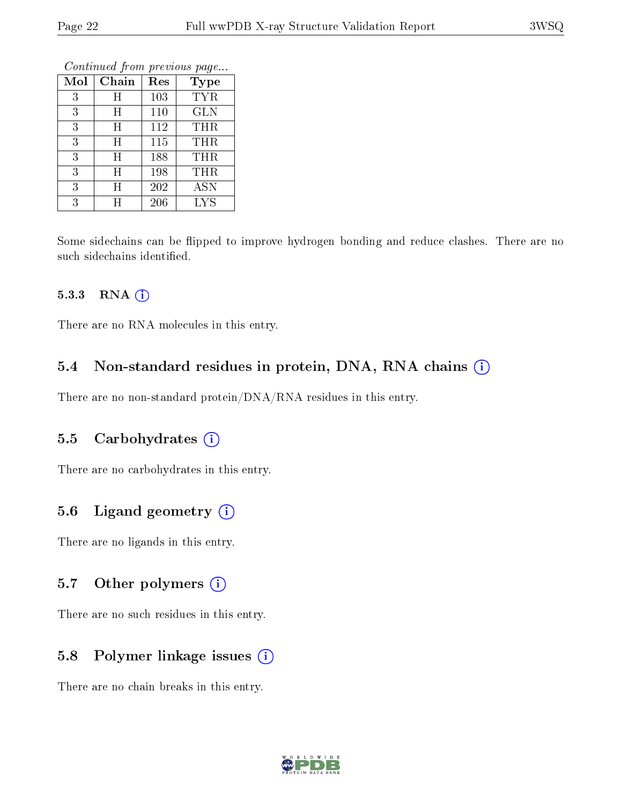| Conning Trong previous page |       |     |            |  |
|-----------------------------|-------|-----|------------|--|
| Mol                         | Chain | Res | Type       |  |
| 3                           | Η     | 103 | <b>TYR</b> |  |
| 3                           | Η     | 110 | <b>GLN</b> |  |
| 3                           | Η     | 112 | <b>THR</b> |  |
| 3                           | Η     | 115 | THR        |  |
| 3                           | Η     | 188 | <b>THR</b> |  |
| 3                           | Η     | 198 | <b>THR</b> |  |
| 3                           | Η     | 202 | <b>ASN</b> |  |
| 3                           | H     | 206 | <b>LYS</b> |  |

Some sidechains can be flipped to improve hydrogen bonding and reduce clashes. There are no such sidechains identified.

#### 5.3.3 RNA (1)

There are no RNA molecules in this entry.

#### 5.4 Non-standard residues in protein, DNA, RNA chains (i)

There are no non-standard protein/DNA/RNA residues in this entry.

#### 5.5 Carbohydrates (i)

There are no carbohydrates in this entry.

#### 5.6 Ligand geometry (i)

There are no ligands in this entry.

#### 5.7 [O](https://www.wwpdb.org/validation/2017/XrayValidationReportHelp#nonstandard_residues_and_ligands)ther polymers (i)

There are no such residues in this entry.

#### 5.8 Polymer linkage issues (i)

There are no chain breaks in this entry.